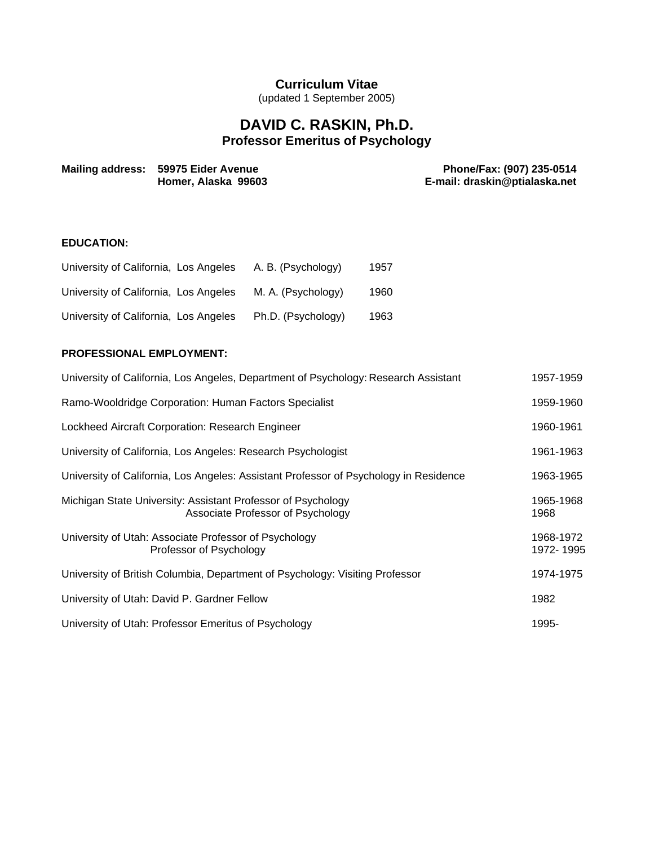# **Curriculum Vitae**

(updated 1 September 2005)

# **DAVID C. RASKIN, Ph.D. Professor Emeritus of Psychology**

| Mailing address: 59975 Eider Avenue | Phone/Fax: (907) 235-0514     |
|-------------------------------------|-------------------------------|
| Homer, Alaska 99603                 | E-mail: draskin@ptialaska.net |

# **EDUCATION:**

| University of California, Los Angeles | A. B. (Psychology) | 1957 |
|---------------------------------------|--------------------|------|
| University of California, Los Angeles | M. A. (Psychology) | 1960 |
| University of California, Los Angeles | Ph.D. (Psychology) | 1963 |

# **PROFESSIONAL EMPLOYMENT:**

| University of California, Los Angeles, Department of Psychology: Research Assistant               | 1957-1959              |
|---------------------------------------------------------------------------------------------------|------------------------|
| Ramo-Wooldridge Corporation: Human Factors Specialist                                             | 1959-1960              |
| Lockheed Aircraft Corporation: Research Engineer                                                  | 1960-1961              |
| University of California, Los Angeles: Research Psychologist                                      | 1961-1963              |
| University of California, Los Angeles: Assistant Professor of Psychology in Residence             | 1963-1965              |
| Michigan State University: Assistant Professor of Psychology<br>Associate Professor of Psychology | 1965-1968<br>1968      |
| University of Utah: Associate Professor of Psychology<br>Professor of Psychology                  | 1968-1972<br>1972-1995 |
| University of British Columbia, Department of Psychology: Visiting Professor                      | 1974-1975              |
| University of Utah: David P. Gardner Fellow                                                       | 1982                   |
| University of Utah: Professor Emeritus of Psychology                                              | 1995-                  |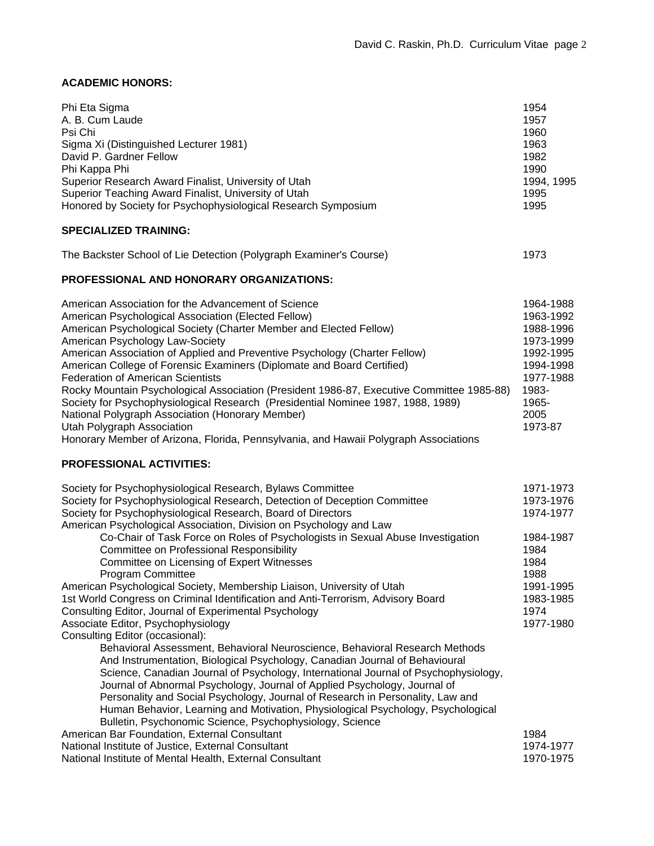# **ACADEMIC HONORS:**

| Phi Eta Sigma<br>A. B. Cum Laude<br>Psi Chi<br>Sigma Xi (Distinguished Lecturer 1981)<br>David P. Gardner Fellow<br>Phi Kappa Phi<br>Superior Research Award Finalist, University of Utah<br>Superior Teaching Award Finalist, University of Utah<br>Honored by Society for Psychophysiological Research Symposium<br><b>SPECIALIZED TRAINING:</b>                                                                                                                                                                                                                                                                                                                                                                                                                                                                                                                                                               | 1954<br>1957<br>1960<br>1963<br>1982<br>1990<br>1994, 1995<br>1995<br>1995                                                   |
|------------------------------------------------------------------------------------------------------------------------------------------------------------------------------------------------------------------------------------------------------------------------------------------------------------------------------------------------------------------------------------------------------------------------------------------------------------------------------------------------------------------------------------------------------------------------------------------------------------------------------------------------------------------------------------------------------------------------------------------------------------------------------------------------------------------------------------------------------------------------------------------------------------------|------------------------------------------------------------------------------------------------------------------------------|
| The Backster School of Lie Detection (Polygraph Examiner's Course)                                                                                                                                                                                                                                                                                                                                                                                                                                                                                                                                                                                                                                                                                                                                                                                                                                               | 1973                                                                                                                         |
| <b>PROFESSIONAL AND HONORARY ORGANIZATIONS:</b>                                                                                                                                                                                                                                                                                                                                                                                                                                                                                                                                                                                                                                                                                                                                                                                                                                                                  |                                                                                                                              |
| American Association for the Advancement of Science<br>American Psychological Association (Elected Fellow)<br>American Psychological Society (Charter Member and Elected Fellow)<br>American Psychology Law-Society<br>American Association of Applied and Preventive Psychology (Charter Fellow)<br>American College of Forensic Examiners (Diplomate and Board Certified)<br><b>Federation of American Scientists</b><br>Rocky Mountain Psychological Association (President 1986-87, Executive Committee 1985-88)<br>Society for Psychophysiological Research (Presidential Nominee 1987, 1988, 1989)<br>National Polygraph Association (Honorary Member)<br>Utah Polygraph Association<br>Honorary Member of Arizona, Florida, Pennsylvania, and Hawaii Polygraph Associations                                                                                                                               | 1964-1988<br>1963-1992<br>1988-1996<br>1973-1999<br>1992-1995<br>1994-1998<br>1977-1988<br>1983-<br>1965-<br>2005<br>1973-87 |
| <b>PROFESSIONAL ACTIVITIES:</b>                                                                                                                                                                                                                                                                                                                                                                                                                                                                                                                                                                                                                                                                                                                                                                                                                                                                                  |                                                                                                                              |
| Society for Psychophysiological Research, Bylaws Committee<br>Society for Psychophysiological Research, Detection of Deception Committee<br>Society for Psychophysiological Research, Board of Directors<br>American Psychological Association, Division on Psychology and Law<br>Co-Chair of Task Force on Roles of Psychologists in Sexual Abuse Investigation<br><b>Committee on Professional Responsibility</b><br>Committee on Licensing of Expert Witnesses<br><b>Program Committee</b>                                                                                                                                                                                                                                                                                                                                                                                                                    | 1971-1973<br>1973-1976<br>1974-1977<br>1984-1987<br>1984<br>1984<br>1988                                                     |
| American Psychological Society, Membership Liaison, University of Utah<br>1st World Congress on Criminal Identification and Anti-Terrorism, Advisory Board<br>Consulting Editor, Journal of Experimental Psychology<br>Associate Editor, Psychophysiology<br>Consulting Editor (occasional):<br>Behavioral Assessment, Behavioral Neuroscience, Behavioral Research Methods<br>And Instrumentation, Biological Psychology, Canadian Journal of Behavioural<br>Science, Canadian Journal of Psychology, International Journal of Psychophysiology,<br>Journal of Abnormal Psychology, Journal of Applied Psychology, Journal of<br>Personality and Social Psychology, Journal of Research in Personality, Law and<br>Human Behavior, Learning and Motivation, Physiological Psychology, Psychological<br>Bulletin, Psychonomic Science, Psychophysiology, Science<br>American Bar Foundation, External Consultant | 1991-1995<br>1983-1985<br>1974<br>1977-1980<br>1984                                                                          |
| National Institute of Justice, External Consultant<br>National Institute of Mental Health, External Consultant                                                                                                                                                                                                                                                                                                                                                                                                                                                                                                                                                                                                                                                                                                                                                                                                   | 1974-1977<br>1970-1975                                                                                                       |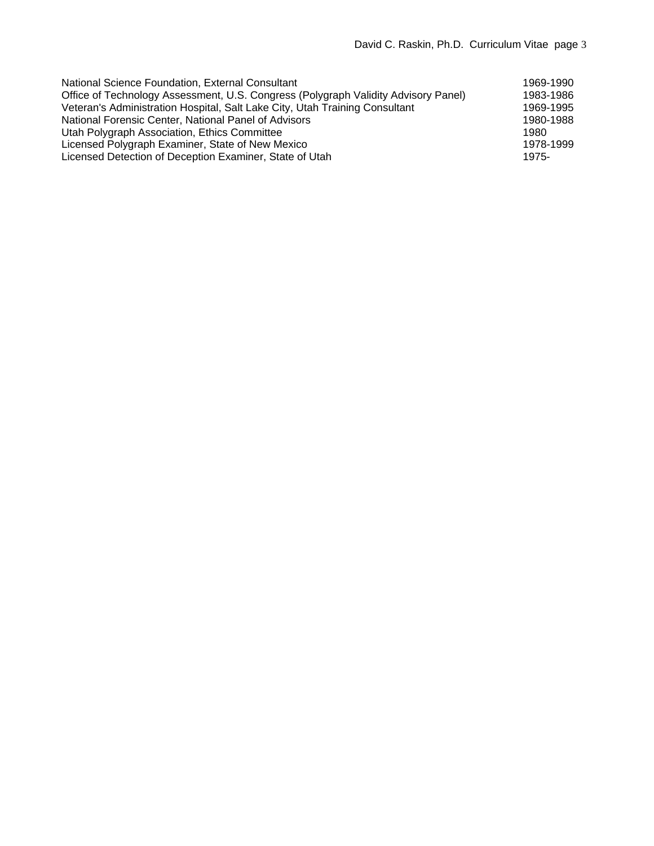| National Science Foundation, External Consultant                                   | 1969-1990 |
|------------------------------------------------------------------------------------|-----------|
| Office of Technology Assessment, U.S. Congress (Polygraph Validity Advisory Panel) | 1983-1986 |
| Veteran's Administration Hospital, Salt Lake City, Utah Training Consultant        | 1969-1995 |
| National Forensic Center, National Panel of Advisors                               | 1980-1988 |
| Utah Polygraph Association, Ethics Committee                                       | 1980      |
| Licensed Polygraph Examiner, State of New Mexico                                   | 1978-1999 |
| Licensed Detection of Deception Examiner, State of Utah                            | 1975-     |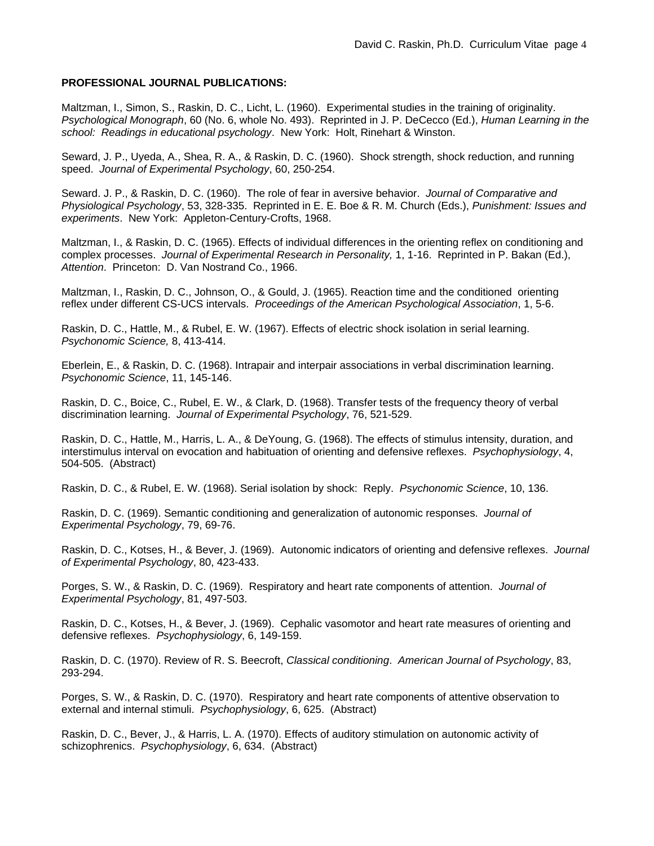## **PROFESSIONAL JOURNAL PUBLICATIONS:**

Maltzman, I., Simon, S., Raskin, D. C., Licht, L. (1960). Experimental studies in the training of originality. *Psychological Monograph*, 60 (No. 6, whole No. 493). Reprinted in J. P. DeCecco (Ed.), *Human Learning in the school: Readings in educational psychology*. New York: Holt, Rinehart & Winston.

Seward, J. P., Uyeda, A., Shea, R. A., & Raskin, D. C. (1960). Shock strength, shock reduction, and running speed. *Journal of Experimental Psychology*, 60, 250-254.

Seward. J. P., & Raskin, D. C. (1960). The role of fear in aversive behavior. *Journal of Comparative and Physiological Psychology*, 53, 328-335. Reprinted in E. E. Boe & R. M. Church (Eds.), *Punishment: Issues and experiments*. New York: Appleton-Century-Crofts, 1968.

Maltzman, I., & Raskin, D. C. (1965). Effects of individual differences in the orienting reflex on conditioning and complex processes. *Journal of Experimental Research in Personality,* 1, 1-16. Reprinted in P. Bakan (Ed.), *Attention*. Princeton: D. Van Nostrand Co., 1966.

Maltzman, I., Raskin, D. C., Johnson, O., & Gould, J. (1965). Reaction time and the conditioned orienting reflex under different CS-UCS intervals. *Proceedings of the American Psychological Association*, 1, 5-6.

Raskin, D. C., Hattle, M., & Rubel, E. W. (1967). Effects of electric shock isolation in serial learning. *Psychonomic Science,* 8, 413-414.

Eberlein, E., & Raskin, D. C. (1968). Intrapair and interpair associations in verbal discrimination learning. *Psychonomic Science*, 11, 145-146.

Raskin, D. C., Boice, C., Rubel, E. W., & Clark, D. (1968). Transfer tests of the frequency theory of verbal discrimination learning. *Journal of Experimental Psychology*, 76, 521-529.

Raskin, D. C., Hattle, M., Harris, L. A., & DeYoung, G. (1968). The effects of stimulus intensity, duration, and interstimulus interval on evocation and habituation of orienting and defensive reflexes. *Psychophysiology*, 4, 504-505. (Abstract)

Raskin, D. C., & Rubel, E. W. (1968). Serial isolation by shock: Reply. *Psychonomic Science*, 10, 136.

Raskin, D. C. (1969). Semantic conditioning and generalization of autonomic responses. *Journal of Experimental Psychology*, 79, 69-76.

Raskin, D. C., Kotses, H., & Bever, J. (1969). Autonomic indicators of orienting and defensive reflexes. *Journal of Experimental Psychology*, 80, 423-433.

Porges, S. W., & Raskin, D. C. (1969). Respiratory and heart rate components of attention. *Journal of Experimental Psychology*, 81, 497-503.

Raskin, D. C., Kotses, H., & Bever, J. (1969). Cephalic vasomotor and heart rate measures of orienting and defensive reflexes. *Psychophysiology*, 6, 149-159.

Raskin, D. C. (1970). Review of R. S. Beecroft, *Classical conditioning*. *American Journal of Psychology*, 83, 293-294.

Porges, S. W., & Raskin, D. C. (1970). Respiratory and heart rate components of attentive observation to external and internal stimuli. *Psychophysiology*, 6, 625. (Abstract)

Raskin, D. C., Bever, J., & Harris, L. A. (1970). Effects of auditory stimulation on autonomic activity of schizophrenics. *Psychophysiology*, 6, 634. (Abstract)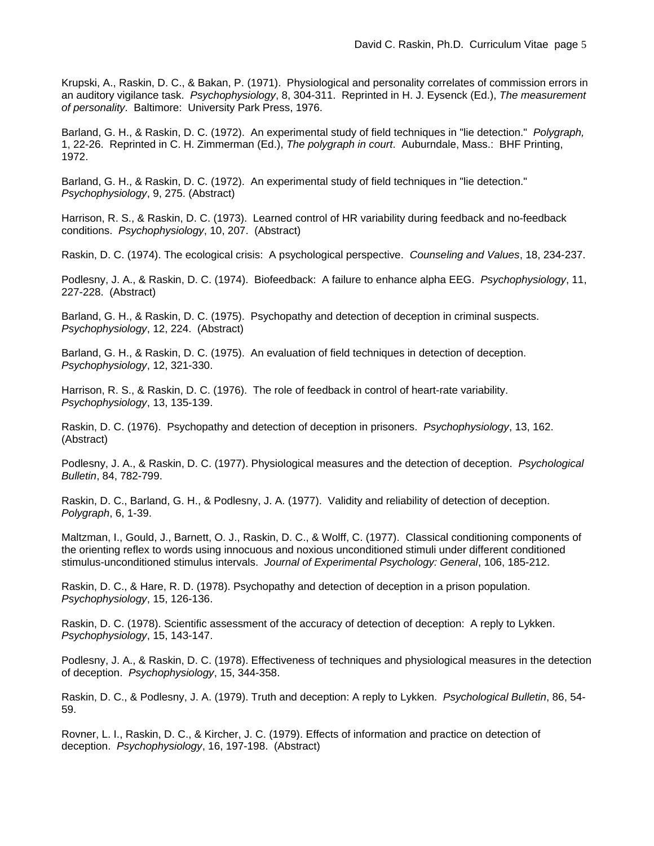Krupski, A., Raskin, D. C., & Bakan, P. (1971). Physiological and personality correlates of commission errors in an auditory vigilance task. *Psychophysiology*, 8, 304-311. Reprinted in H. J. Eysenck (Ed.), *The measurement of personality*. Baltimore: University Park Press, 1976.

Barland, G. H., & Raskin, D. C. (1972). An experimental study of field techniques in "lie detection." *Polygraph,* 1, 22-26. Reprinted in C. H. Zimmerman (Ed.), *The polygraph in court*. Auburndale, Mass.: BHF Printing, 1972.

Barland, G. H., & Raskin, D. C. (1972). An experimental study of field techniques in "lie detection." *Psychophysiology*, 9, 275. (Abstract)

Harrison, R. S., & Raskin, D. C. (1973). Learned control of HR variability during feedback and no-feedback conditions. *Psychophysiology*, 10, 207. (Abstract)

Raskin, D. C. (1974). The ecological crisis: A psychological perspective. *Counseling and Values*, 18, 234-237.

Podlesny, J. A., & Raskin, D. C. (1974). Biofeedback: A failure to enhance alpha EEG. *Psychophysiology*, 11, 227-228. (Abstract)

Barland, G. H., & Raskin, D. C. (1975). Psychopathy and detection of deception in criminal suspects. *Psychophysiology*, 12, 224. (Abstract)

Barland, G. H., & Raskin, D. C. (1975). An evaluation of field techniques in detection of deception. *Psychophysiology*, 12, 321-330.

Harrison, R. S., & Raskin, D. C. (1976). The role of feedback in control of heart-rate variability. *Psychophysiology*, 13, 135-139.

Raskin, D. C. (1976). Psychopathy and detection of deception in prisoners. *Psychophysiology*, 13, 162. (Abstract)

Podlesny, J. A., & Raskin, D. C. (1977). Physiological measures and the detection of deception. *Psychological Bulletin*, 84, 782-799.

Raskin, D. C., Barland, G. H., & Podlesny, J. A. (1977). Validity and reliability of detection of deception. *Polygraph*, 6, 1-39.

Maltzman, I., Gould, J., Barnett, O. J., Raskin, D. C., & Wolff, C. (1977). Classical conditioning components of the orienting reflex to words using innocuous and noxious unconditioned stimuli under different conditioned stimulus-unconditioned stimulus intervals. *Journal of Experimental Psychology: General*, 106, 185-212.

Raskin, D. C., & Hare, R. D. (1978). Psychopathy and detection of deception in a prison population. *Psychophysiology*, 15, 126-136.

Raskin, D. C. (1978). Scientific assessment of the accuracy of detection of deception: A reply to Lykken. *Psychophysiology*, 15, 143-147.

Podlesny, J. A., & Raskin, D. C. (1978). Effectiveness of techniques and physiological measures in the detection of deception. *Psychophysiology*, 15, 344-358.

Raskin, D. C., & Podlesny, J. A. (1979). Truth and deception: A reply to Lykken. *Psychological Bulletin*, 86, 54- 59.

Rovner, L. I., Raskin, D. C., & Kircher, J. C. (1979). Effects of information and practice on detection of deception. *Psychophysiology*, 16, 197-198. (Abstract)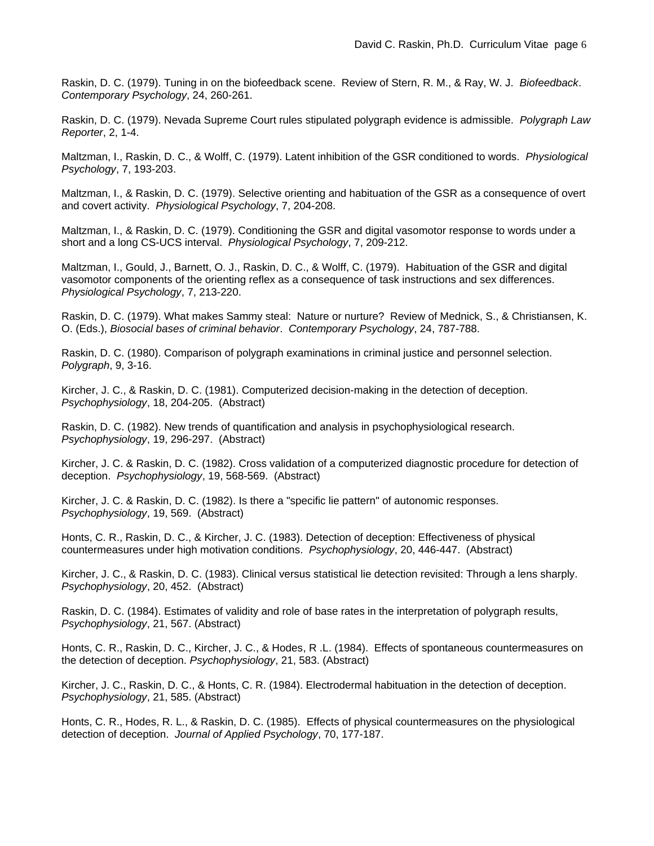Raskin, D. C. (1979). Tuning in on the biofeedback scene. Review of Stern, R. M., & Ray, W. J. *Biofeedback*. *Contemporary Psychology*, 24, 260-261.

Raskin, D. C. (1979). Nevada Supreme Court rules stipulated polygraph evidence is admissible. *Polygraph Law Reporter*, 2, 1-4.

Maltzman, I., Raskin, D. C., & Wolff, C. (1979). Latent inhibition of the GSR conditioned to words. *Physiological Psychology*, 7, 193-203.

Maltzman, I., & Raskin, D. C. (1979). Selective orienting and habituation of the GSR as a consequence of overt and covert activity. *Physiological Psychology*, 7, 204-208.

Maltzman, I., & Raskin, D. C. (1979). Conditioning the GSR and digital vasomotor response to words under a short and a long CS-UCS interval. *Physiological Psychology*, 7, 209-212.

Maltzman, I., Gould, J., Barnett, O. J., Raskin, D. C., & Wolff, C. (1979). Habituation of the GSR and digital vasomotor components of the orienting reflex as a consequence of task instructions and sex differences. *Physiological Psychology*, 7, 213-220.

Raskin, D. C. (1979). What makes Sammy steal: Nature or nurture? Review of Mednick, S., & Christiansen, K. O. (Eds.), *Biosocial bases of criminal behavior*. *Contemporary Psychology*, 24, 787-788.

Raskin, D. C. (1980). Comparison of polygraph examinations in criminal justice and personnel selection. *Polygraph*, 9, 3-16.

Kircher, J. C., & Raskin, D. C. (1981). Computerized decision-making in the detection of deception. *Psychophysiology*, 18, 204-205. (Abstract)

Raskin, D. C. (1982). New trends of quantification and analysis in psychophysiological research. *Psychophysiology*, 19, 296-297. (Abstract)

Kircher, J. C. & Raskin, D. C. (1982). Cross validation of a computerized diagnostic procedure for detection of deception. *Psychophysiology*, 19, 568-569. (Abstract)

Kircher, J. C. & Raskin, D. C. (1982). Is there a "specific lie pattern" of autonomic responses. *Psychophysiology*, 19, 569. (Abstract)

Honts, C. R., Raskin, D. C., & Kircher, J. C. (1983). Detection of deception: Effectiveness of physical countermeasures under high motivation conditions. *Psychophysiology*, 20, 446-447. (Abstract)

Kircher, J. C., & Raskin, D. C. (1983). Clinical versus statistical lie detection revisited: Through a lens sharply. *Psychophysiology*, 20, 452. (Abstract)

Raskin, D. C. (1984). Estimates of validity and role of base rates in the interpretation of polygraph results, *Psychophysiology*, 21, 567. (Abstract)

Honts, C. R., Raskin, D. C., Kircher, J. C., & Hodes, R .L. (1984). Effects of spontaneous countermeasures on the detection of deception. *Psychophysiology*, 21, 583. (Abstract)

Kircher, J. C., Raskin, D. C., & Honts, C. R. (1984). Electrodermal habituation in the detection of deception. *Psychophysiology*, 21, 585. (Abstract)

Honts, C. R., Hodes, R. L., & Raskin, D. C. (1985). Effects of physical countermeasures on the physiological detection of deception. *Journal of Applied Psychology*, 70, 177-187.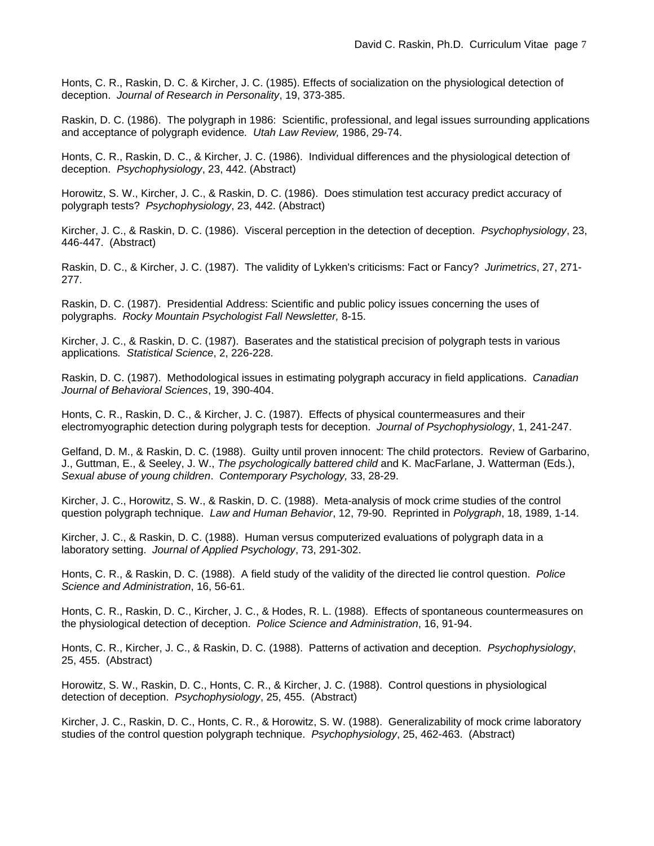Honts, C. R., Raskin, D. C. & Kircher, J. C. (1985). Effects of socialization on the physiological detection of deception. *Journal of Research in Personality*, 19, 373-385.

Raskin, D. C. (1986). The polygraph in 1986: Scientific, professional, and legal issues surrounding applications and acceptance of polygraph evidence*. Utah Law Review,* 1986, 29-74.

Honts, C. R., Raskin, D. C., & Kircher, J. C. (1986). Individual differences and the physiological detection of deception. *Psychophysiology*, 23, 442. (Abstract)

Horowitz, S. W., Kircher, J. C., & Raskin, D. C. (1986). Does stimulation test accuracy predict accuracy of polygraph tests? *Psychophysiology*, 23, 442. (Abstract)

Kircher, J. C., & Raskin, D. C. (1986). Visceral perception in the detection of deception. *Psychophysiology*, 23, 446-447. (Abstract)

Raskin, D. C., & Kircher, J. C. (1987). The validity of Lykken's criticisms: Fact or Fancy? *Jurimetrics*, 27, 271- 277.

Raskin, D. C. (1987). Presidential Address: Scientific and public policy issues concerning the uses of polygraphs. *Rocky Mountain Psychologist Fall Newsletter,* 8-15.

Kircher, J. C., & Raskin, D. C. (1987). Baserates and the statistical precision of polygraph tests in various applications*. Statistical Science*, 2, 226-228.

Raskin, D. C. (1987). Methodological issues in estimating polygraph accuracy in field applications. *Canadian Journal of Behavioral Sciences*, 19, 390-404.

Honts, C. R., Raskin, D. C., & Kircher, J. C. (1987). Effects of physical countermeasures and their electromyographic detection during polygraph tests for deception. *Journal of Psychophysiology*, 1, 241-247.

Gelfand, D. M., & Raskin, D. C. (1988). Guilty until proven innocent: The child protectors. Review of Garbarino, J., Guttman, E., & Seeley, J. W., *The psychologically battered child* and K. MacFarlane, J. Watterman (Eds.), *Sexual abuse of young children*. *Contemporary Psychology,* 33, 28-29.

Kircher, J. C., Horowitz, S. W., & Raskin, D. C. (1988). Meta-analysis of mock crime studies of the control question polygraph technique. *Law and Human Behavior*, 12, 79-90. Reprinted in *Polygraph*, 18, 1989, 1-14.

Kircher, J. C., & Raskin, D. C. (1988). Human versus computerized evaluations of polygraph data in a laboratory setting. *Journal of Applied Psychology*, 73, 291-302.

Honts, C. R., & Raskin, D. C. (1988). A field study of the validity of the directed lie control question. *Police Science and Administration*, 16, 56-61.

Honts, C. R., Raskin, D. C., Kircher, J. C., & Hodes, R. L. (1988). Effects of spontaneous countermeasures on the physiological detection of deception. *Police Science and Administration*, 16, 91-94.

Honts, C. R., Kircher, J. C., & Raskin, D. C. (1988). Patterns of activation and deception. *Psychophysiology*, 25, 455. (Abstract)

Horowitz, S. W., Raskin, D. C., Honts, C. R., & Kircher, J. C. (1988). Control questions in physiological detection of deception. *Psychophysiology*, 25, 455. (Abstract)

Kircher, J. C., Raskin, D. C., Honts, C. R., & Horowitz, S. W. (1988). Generalizability of mock crime laboratory studies of the control question polygraph technique. *Psychophysiology*, 25, 462-463. (Abstract)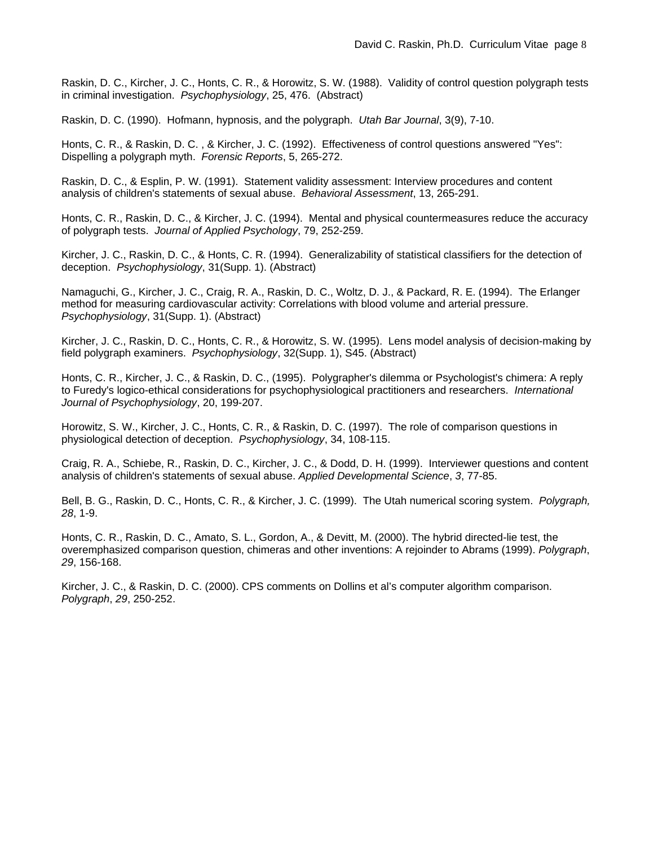Raskin, D. C., Kircher, J. C., Honts, C. R., & Horowitz, S. W. (1988). Validity of control question polygraph tests in criminal investigation. *Psychophysiology*, 25, 476. (Abstract)

Raskin, D. C. (1990). Hofmann, hypnosis, and the polygraph. *Utah Bar Journal*, 3(9), 7-10.

Honts, C. R., & Raskin, D. C. , & Kircher, J. C. (1992). Effectiveness of control questions answered "Yes": Dispelling a polygraph myth. *Forensic Reports*, 5, 265-272.

Raskin, D. C., & Esplin, P. W. (1991). Statement validity assessment: Interview procedures and content analysis of children's statements of sexual abuse. *Behavioral Assessment*, 13, 265-291.

Honts, C. R., Raskin, D. C., & Kircher, J. C. (1994). Mental and physical countermeasures reduce the accuracy of polygraph tests. *Journal of Applied Psychology*, 79, 252-259.

Kircher, J. C., Raskin, D. C., & Honts, C. R. (1994). Generalizability of statistical classifiers for the detection of deception. *Psychophysiology*, 31(Supp. 1). (Abstract)

Namaguchi, G., Kircher, J. C., Craig, R. A., Raskin, D. C., Woltz, D. J., & Packard, R. E. (1994). The Erlanger method for measuring cardiovascular activity: Correlations with blood volume and arterial pressure. *Psychophysiology*, 31(Supp. 1). (Abstract)

Kircher, J. C., Raskin, D. C., Honts, C. R., & Horowitz, S. W. (1995). Lens model analysis of decision-making by field polygraph examiners. *Psychophysiology*, 32(Supp. 1), S45. (Abstract)

Honts, C. R., Kircher, J. C., & Raskin, D. C., (1995). Polygrapher's dilemma or Psychologist's chimera: A reply to Furedy's logico-ethical considerations for psychophysiological practitioners and researchers. *International Journal of Psychophysiology*, 20, 199-207.

Horowitz, S. W., Kircher, J. C., Honts, C. R., & Raskin, D. C. (1997). The role of comparison questions in physiological detection of deception. *Psychophysiology*, 34, 108-115.

Craig, R. A., Schiebe, R., Raskin, D. C., Kircher, J. C., & Dodd, D. H. (1999). Interviewer questions and content analysis of children's statements of sexual abuse. *Applied Developmental Science*, *3*, 77-85.

Bell, B. G., Raskin, D. C., Honts, C. R., & Kircher, J. C. (1999). The Utah numerical scoring system. *Polygraph, 28*, 1-9.

Honts, C. R., Raskin, D. C., Amato, S. L., Gordon, A., & Devitt, M. (2000). The hybrid directed-lie test, the overemphasized comparison question, chimeras and other inventions: A rejoinder to Abrams (1999). *Polygraph*, *29*, 156-168.

Kircher, J. C., & Raskin, D. C. (2000). CPS comments on Dollins et al's computer algorithm comparison. *Polygraph*, *29*, 250-252.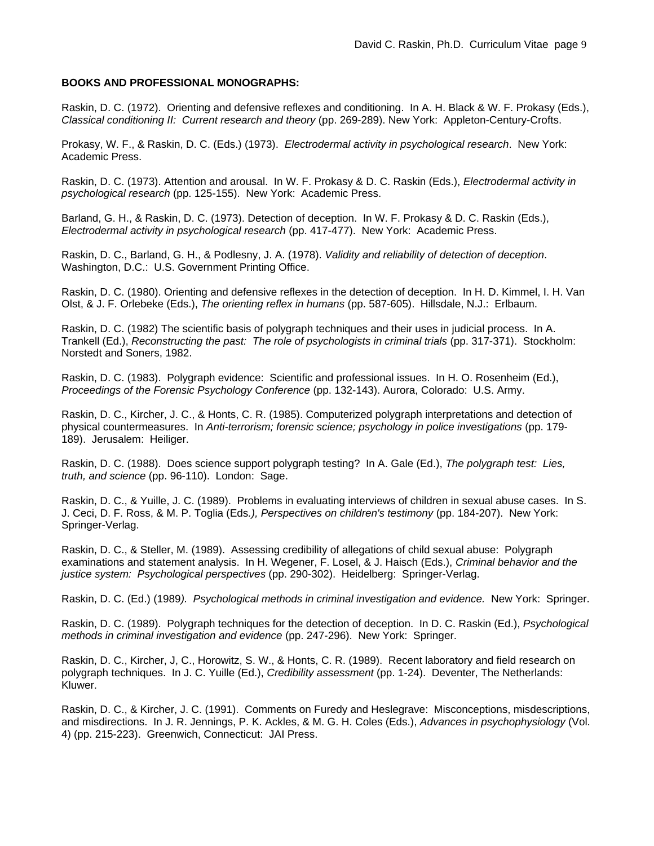## **BOOKS AND PROFESSIONAL MONOGRAPHS:**

Raskin, D. C. (1972). Orienting and defensive reflexes and conditioning. In A. H. Black & W. F. Prokasy (Eds.), *Classical conditioning II: Current research and theory* (pp. 269-289). New York: Appleton-Century-Crofts.

Prokasy, W. F., & Raskin, D. C. (Eds.) (1973). *Electrodermal activity in psychological research*. New York: Academic Press.

Raskin, D. C. (1973). Attention and arousal. In W. F. Prokasy & D. C. Raskin (Eds.), *Electrodermal activity in psychological research* (pp. 125-155). New York: Academic Press.

Barland, G. H., & Raskin, D. C. (1973). Detection of deception. In W. F. Prokasy & D. C. Raskin (Eds.), *Electrodermal activity in psychological research* (pp. 417-477). New York: Academic Press.

Raskin, D. C., Barland, G. H., & Podlesny, J. A. (1978). *Validity and reliability of detection of deception*. Washington, D.C.: U.S. Government Printing Office.

Raskin, D. C. (1980). Orienting and defensive reflexes in the detection of deception. In H. D. Kimmel, I. H. Van Olst, & J. F. Orlebeke (Eds.), *The orienting reflex in humans* (pp. 587-605). Hillsdale, N.J.: Erlbaum.

Raskin, D. C. (1982) The scientific basis of polygraph techniques and their uses in judicial process. In A. Trankell (Ed.), *Reconstructing the past: The role of psychologists in criminal trials* (pp. 317-371). Stockholm: Norstedt and Soners, 1982.

Raskin, D. C. (1983). Polygraph evidence: Scientific and professional issues. In H. O. Rosenheim (Ed.), *Proceedings of the Forensic Psychology Conference* (pp. 132-143). Aurora, Colorado: U.S. Army.

Raskin, D. C., Kircher, J. C., & Honts, C. R. (1985). Computerized polygraph interpretations and detection of physical countermeasures. In *Anti-terrorism; forensic science; psychology in police investigations* (pp. 179- 189). Jerusalem: Heiliger.

Raskin, D. C. (1988). Does science support polygraph testing? In A. Gale (Ed.), *The polygraph test: Lies, truth, and science* (pp. 96-110). London: Sage.

Raskin, D. C., & Yuille, J. C. (1989). Problems in evaluating interviews of children in sexual abuse cases. In S. J. Ceci, D. F. Ross, & M. P. Toglia (Eds*.), Perspectives on children's testimony* (pp. 184-207). New York: Springer-Verlag.

Raskin, D. C., & Steller, M. (1989). Assessing credibility of allegations of child sexual abuse: Polygraph examinations and statement analysis. In H. Wegener, F. Losel, & J. Haisch (Eds.), *Criminal behavior and the justice system: Psychological perspectives* (pp. 290-302). Heidelberg: Springer-Verlag.

Raskin, D. C. (Ed.) (1989*). Psychological methods in criminal investigation and evidence.* New York: Springer.

Raskin, D. C. (1989). Polygraph techniques for the detection of deception. In D. C. Raskin (Ed.), *Psychological methods in criminal investigation and evidence* (pp. 247-296). New York: Springer.

Raskin, D. C., Kircher, J, C., Horowitz, S. W., & Honts, C. R. (1989). Recent laboratory and field research on polygraph techniques. In J. C. Yuille (Ed.), *Credibility assessment* (pp. 1-24). Deventer, The Netherlands: Kluwer.

Raskin, D. C., & Kircher, J. C. (1991). Comments on Furedy and Heslegrave: Misconceptions, misdescriptions, and misdirections. In J. R. Jennings, P. K. Ackles, & M. G. H. Coles (Eds.), *Advances in psychophysiology* (Vol. 4) (pp. 215-223). Greenwich, Connecticut: JAI Press.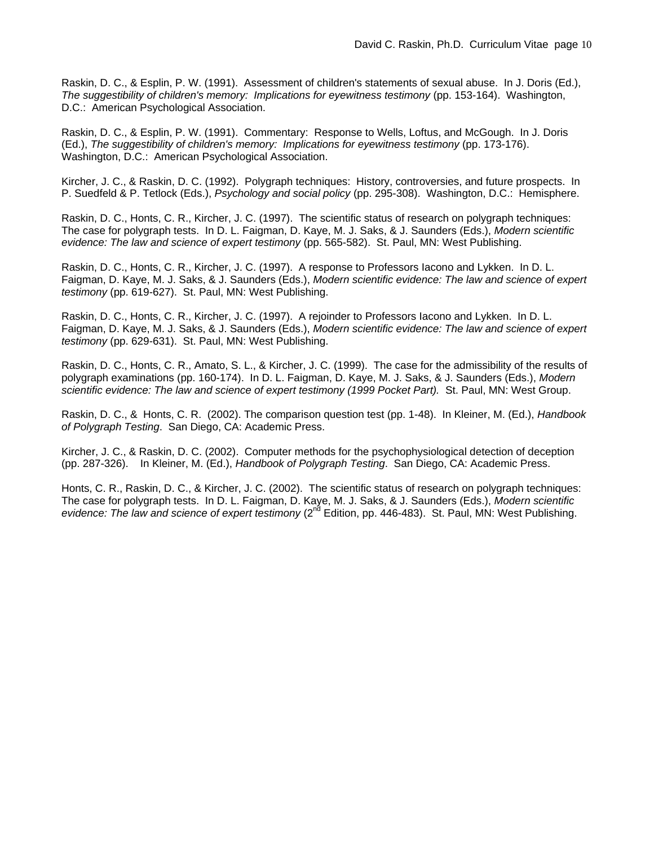Raskin, D. C., & Esplin, P. W. (1991). Assessment of children's statements of sexual abuse. In J. Doris (Ed.), *The suggestibility of children's memory: Implications for eyewitness testimony* (pp. 153-164). Washington, D.C.: American Psychological Association.

Raskin, D. C., & Esplin, P. W. (1991). Commentary: Response to Wells, Loftus, and McGough. In J. Doris (Ed.), *The suggestibility of children's memory: Implications for eyewitness testimony* (pp. 173-176). Washington, D.C.: American Psychological Association.

Kircher, J. C., & Raskin, D. C. (1992). Polygraph techniques: History, controversies, and future prospects. In P. Suedfeld & P. Tetlock (Eds.), *Psychology and social policy* (pp. 295-308). Washington, D.C.: Hemisphere.

Raskin, D. C., Honts, C. R., Kircher, J. C. (1997). The scientific status of research on polygraph techniques: The case for polygraph tests. In D. L. Faigman, D. Kaye, M. J. Saks, & J. Saunders (Eds.), *Modern scientific evidence: The law and science of expert testimony* (pp. 565-582). St. Paul, MN: West Publishing.

Raskin, D. C., Honts, C. R., Kircher, J. C. (1997). A response to Professors Iacono and Lykken. In D. L. Faigman, D. Kaye, M. J. Saks, & J. Saunders (Eds.), *Modern scientific evidence: The law and science of expert testimony* (pp. 619-627). St. Paul, MN: West Publishing.

Raskin, D. C., Honts, C. R., Kircher, J. C. (1997). A rejoinder to Professors Iacono and Lykken. In D. L. Faigman, D. Kaye, M. J. Saks, & J. Saunders (Eds.), *Modern scientific evidence: The law and science of expert testimony* (pp. 629-631). St. Paul, MN: West Publishing.

Raskin, D. C., Honts, C. R., Amato, S. L., & Kircher, J. C. (1999). The case for the admissibility of the results of polygraph examinations (pp. 160-174). In D. L. Faigman, D. Kaye, M. J. Saks, & J. Saunders (Eds.), *Modern scientific evidence: The law and science of expert testimony (1999 Pocket Part).* St. Paul, MN: West Group.

Raskin, D. C., & Honts, C. R. (2002). The comparison question test (pp. 1-48). In Kleiner, M. (Ed.), *Handbook of Polygraph Testing*. San Diego, CA: Academic Press.

Kircher, J. C., & Raskin, D. C. (2002). Computer methods for the psychophysiological detection of deception (pp. 287-326). In Kleiner, M. (Ed.), *Handbook of Polygraph Testing*. San Diego, CA: Academic Press.

Honts, C. R., Raskin, D. C., & Kircher, J. C. (2002). The scientific status of research on polygraph techniques: The case for polygraph tests. In D. L. Faigman, D. Kaye, M. J. Saks, & J. Saunders (Eds.), *Modern scientific*  evidence: The law and science of expert testimony (2<sup>nd</sup> Edition, pp. 446-483). St. Paul, MN: West Publishing.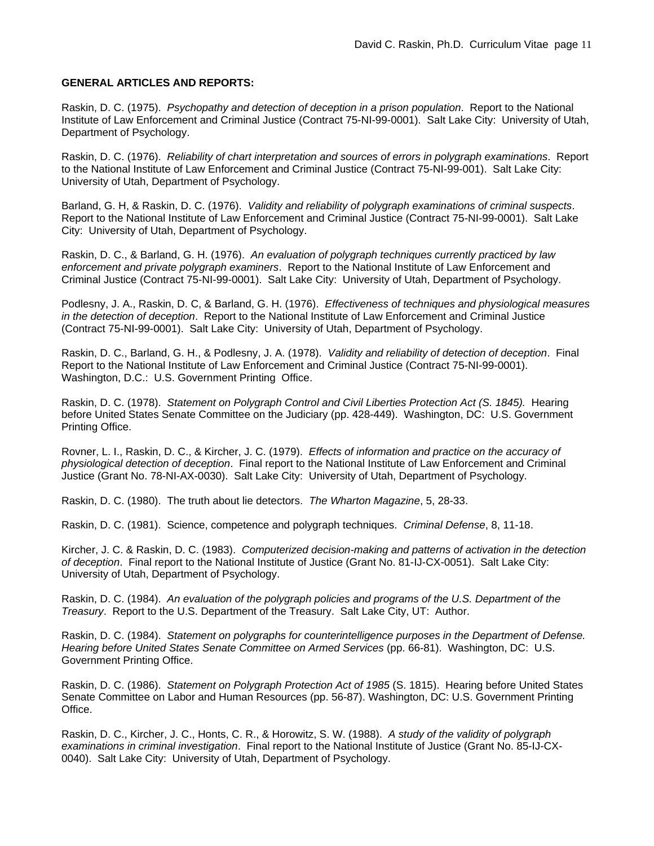## **GENERAL ARTICLES AND REPORTS:**

Raskin, D. C. (1975). *Psychopathy and detection of deception in a prison population*. Report to the National Institute of Law Enforcement and Criminal Justice (Contract 75-NI-99-0001). Salt Lake City: University of Utah, Department of Psychology.

Raskin, D. C. (1976). *Reliability of chart interpretation and sources of errors in polygraph examinations*. Report to the National Institute of Law Enforcement and Criminal Justice (Contract 75-NI-99-001). Salt Lake City: University of Utah, Department of Psychology.

Barland, G. H, & Raskin, D. C. (1976). *Validity and reliability of polygraph examinations of criminal suspects*. Report to the National Institute of Law Enforcement and Criminal Justice (Contract 75-NI-99-0001). Salt Lake City: University of Utah, Department of Psychology.

Raskin, D. C., & Barland, G. H. (1976). *An evaluation of polygraph techniques currently practiced by law enforcement and private polygraph examiners*. Report to the National Institute of Law Enforcement and Criminal Justice (Contract 75-NI-99-0001). Salt Lake City: University of Utah, Department of Psychology.

Podlesny, J. A., Raskin, D. C, & Barland, G. H. (1976). *Effectiveness of techniques and physiological measures in the detection of deception*. Report to the National Institute of Law Enforcement and Criminal Justice (Contract 75-NI-99-0001). Salt Lake City: University of Utah, Department of Psychology.

Raskin, D. C., Barland, G. H., & Podlesny, J. A. (1978). *Validity and reliability of detection of deception*. Final Report to the National Institute of Law Enforcement and Criminal Justice (Contract 75-NI-99-0001). Washington, D.C.: U.S. Government Printing Office.

Raskin, D. C. (1978). *Statement on Polygraph Control and Civil Liberties Protection Act (S. 1845).* Hearing before United States Senate Committee on the Judiciary (pp. 428-449). Washington, DC: U.S. Government Printing Office.

Rovner, L. I., Raskin, D. C., & Kircher, J. C. (1979). *Effects of information and practice on the accuracy of physiological detection of deception*. Final report to the National Institute of Law Enforcement and Criminal Justice (Grant No. 78-NI-AX-0030). Salt Lake City: University of Utah, Department of Psychology.

Raskin, D. C. (1980). The truth about lie detectors. *The Wharton Magazine*, 5, 28-33.

Raskin, D. C. (1981). Science, competence and polygraph techniques. *Criminal Defense*, 8, 11-18.

Kircher, J. C. & Raskin, D. C. (1983). *Computerized decision-making and patterns of activation in the detection of deception*. Final report to the National Institute of Justice (Grant No. 81-IJ-CX-0051). Salt Lake City: University of Utah, Department of Psychology.

Raskin, D. C. (1984). *An evaluation of the polygraph policies and programs of the U.S. Department of the Treasury*. Report to the U.S. Department of the Treasury. Salt Lake City, UT: Author.

Raskin, D. C. (1984). *Statement on polygraphs for counterintelligence purposes in the Department of Defense. Hearing before United States Senate Committee on Armed Services* (pp. 66-81). Washington, DC: U.S. Government Printing Office.

Raskin, D. C. (1986). *Statement on Polygraph Protection Act of 1985* (S. 1815). Hearing before United States Senate Committee on Labor and Human Resources (pp. 56-87). Washington, DC: U.S. Government Printing Office.

Raskin, D. C., Kircher, J. C., Honts, C. R., & Horowitz, S. W. (1988). *A study of the validity of polygraph examinations in criminal investigation*. Final report to the National Institute of Justice (Grant No. 85-IJ-CX-0040). Salt Lake City: University of Utah, Department of Psychology.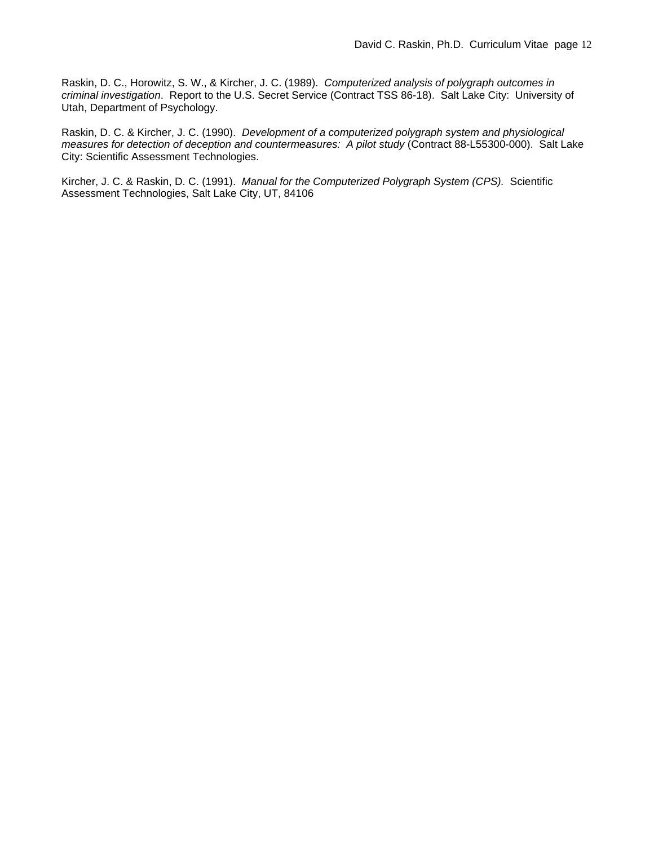Raskin, D. C., Horowitz, S. W., & Kircher, J. C. (1989). *Computerized analysis of polygraph outcomes in criminal investigation*. Report to the U.S. Secret Service (Contract TSS 86-18). Salt Lake City: University of Utah, Department of Psychology.

Raskin, D. C. & Kircher, J. C. (1990). *Development of a computerized polygraph system and physiological measures for detection of deception and countermeasures: A pilot study* (Contract 88-L55300-000). Salt Lake City: Scientific Assessment Technologies.

Kircher, J. C. & Raskin, D. C. (1991). *Manual for the Computerized Polygraph System (CPS).* Scientific Assessment Technologies, Salt Lake City, UT, 84106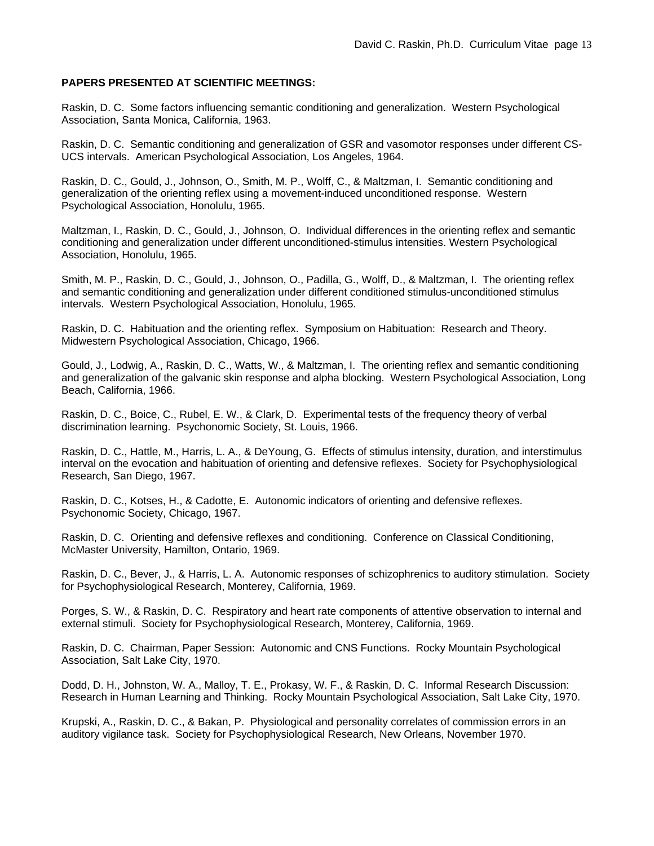## **PAPERS PRESENTED AT SCIENTIFIC MEETINGS:**

Raskin, D. C. Some factors influencing semantic conditioning and generalization. Western Psychological Association, Santa Monica, California, 1963.

Raskin, D. C. Semantic conditioning and generalization of GSR and vasomotor responses under different CS-UCS intervals. American Psychological Association, Los Angeles, 1964.

Raskin, D. C., Gould, J., Johnson, O., Smith, M. P., Wolff, C., & Maltzman, I. Semantic conditioning and generalization of the orienting reflex using a movement-induced unconditioned response. Western Psychological Association, Honolulu, 1965.

Maltzman, I., Raskin, D. C., Gould, J., Johnson, O. Individual differences in the orienting reflex and semantic conditioning and generalization under different unconditioned-stimulus intensities. Western Psychological Association, Honolulu, 1965.

Smith, M. P., Raskin, D. C., Gould, J., Johnson, O., Padilla, G., Wolff, D., & Maltzman, I. The orienting reflex and semantic conditioning and generalization under different conditioned stimulus-unconditioned stimulus intervals. Western Psychological Association, Honolulu, 1965.

Raskin, D. C. Habituation and the orienting reflex. Symposium on Habituation: Research and Theory. Midwestern Psychological Association, Chicago, 1966.

Gould, J., Lodwig, A., Raskin, D. C., Watts, W., & Maltzman, I. The orienting reflex and semantic conditioning and generalization of the galvanic skin response and alpha blocking. Western Psychological Association, Long Beach, California, 1966.

Raskin, D. C., Boice, C., Rubel, E. W., & Clark, D. Experimental tests of the frequency theory of verbal discrimination learning. Psychonomic Society, St. Louis, 1966.

Raskin, D. C., Hattle, M., Harris, L. A., & DeYoung, G. Effects of stimulus intensity, duration, and interstimulus interval on the evocation and habituation of orienting and defensive reflexes. Society for Psychophysiological Research, San Diego, 1967.

Raskin, D. C., Kotses, H., & Cadotte, E. Autonomic indicators of orienting and defensive reflexes. Psychonomic Society, Chicago, 1967.

Raskin, D. C. Orienting and defensive reflexes and conditioning. Conference on Classical Conditioning, McMaster University, Hamilton, Ontario, 1969.

Raskin, D. C., Bever, J., & Harris, L. A. Autonomic responses of schizophrenics to auditory stimulation. Society for Psychophysiological Research, Monterey, California, 1969.

Porges, S. W., & Raskin, D. C. Respiratory and heart rate components of attentive observation to internal and external stimuli. Society for Psychophysiological Research, Monterey, California, 1969.

Raskin, D. C. Chairman, Paper Session: Autonomic and CNS Functions. Rocky Mountain Psychological Association, Salt Lake City, 1970.

Dodd, D. H., Johnston, W. A., Malloy, T. E., Prokasy, W. F., & Raskin, D. C. Informal Research Discussion: Research in Human Learning and Thinking. Rocky Mountain Psychological Association, Salt Lake City, 1970.

Krupski, A., Raskin, D. C., & Bakan, P. Physiological and personality correlates of commission errors in an auditory vigilance task. Society for Psychophysiological Research, New Orleans, November 1970.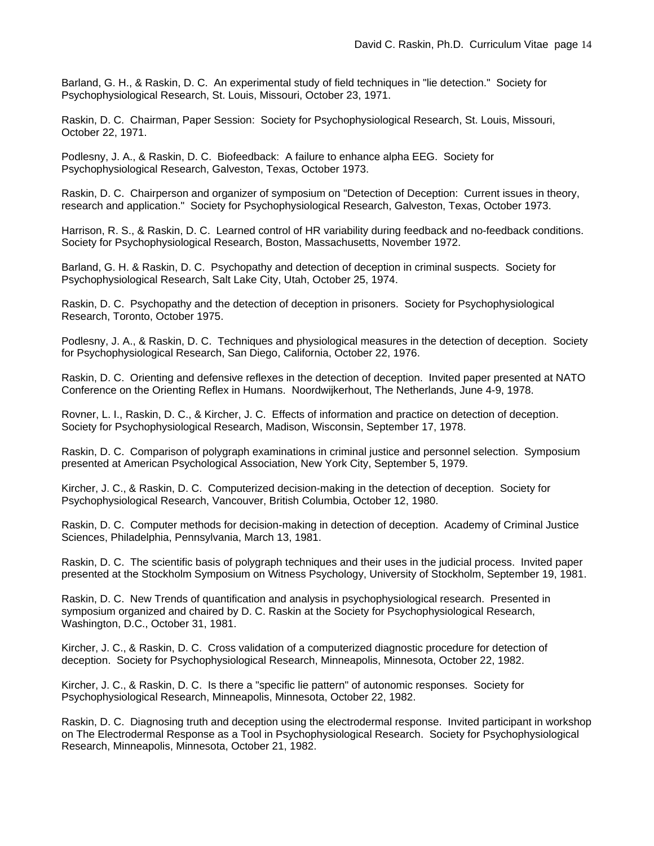Barland, G. H., & Raskin, D. C. An experimental study of field techniques in "lie detection." Society for Psychophysiological Research, St. Louis, Missouri, October 23, 1971.

Raskin, D. C. Chairman, Paper Session: Society for Psychophysiological Research, St. Louis, Missouri, October 22, 1971.

Podlesny, J. A., & Raskin, D. C. Biofeedback: A failure to enhance alpha EEG. Society for Psychophysiological Research, Galveston, Texas, October 1973.

Raskin, D. C. Chairperson and organizer of symposium on "Detection of Deception: Current issues in theory, research and application." Society for Psychophysiological Research, Galveston, Texas, October 1973.

Harrison, R. S., & Raskin, D. C. Learned control of HR variability during feedback and no-feedback conditions. Society for Psychophysiological Research, Boston, Massachusetts, November 1972.

Barland, G. H. & Raskin, D. C. Psychopathy and detection of deception in criminal suspects. Society for Psychophysiological Research, Salt Lake City, Utah, October 25, 1974.

Raskin, D. C. Psychopathy and the detection of deception in prisoners. Society for Psychophysiological Research, Toronto, October 1975.

Podlesny, J. A., & Raskin, D. C. Techniques and physiological measures in the detection of deception. Society for Psychophysiological Research, San Diego, California, October 22, 1976.

Raskin, D. C. Orienting and defensive reflexes in the detection of deception. Invited paper presented at NATO Conference on the Orienting Reflex in Humans. Noordwijkerhout, The Netherlands, June 4-9, 1978.

Rovner, L. I., Raskin, D. C., & Kircher, J. C. Effects of information and practice on detection of deception. Society for Psychophysiological Research, Madison, Wisconsin, September 17, 1978.

Raskin, D. C. Comparison of polygraph examinations in criminal justice and personnel selection. Symposium presented at American Psychological Association, New York City, September 5, 1979.

Kircher, J. C., & Raskin, D. C. Computerized decision-making in the detection of deception. Society for Psychophysiological Research, Vancouver, British Columbia, October 12, 1980.

Raskin, D. C. Computer methods for decision-making in detection of deception. Academy of Criminal Justice Sciences, Philadelphia, Pennsylvania, March 13, 1981.

Raskin, D. C. The scientific basis of polygraph techniques and their uses in the judicial process. Invited paper presented at the Stockholm Symposium on Witness Psychology, University of Stockholm, September 19, 1981.

Raskin, D. C. New Trends of quantification and analysis in psychophysiological research. Presented in symposium organized and chaired by D. C. Raskin at the Society for Psychophysiological Research, Washington, D.C., October 31, 1981.

Kircher, J. C., & Raskin, D. C. Cross validation of a computerized diagnostic procedure for detection of deception. Society for Psychophysiological Research, Minneapolis, Minnesota, October 22, 1982.

Kircher, J. C., & Raskin, D. C. Is there a "specific lie pattern" of autonomic responses. Society for Psychophysiological Research, Minneapolis, Minnesota, October 22, 1982.

Raskin, D. C. Diagnosing truth and deception using the electrodermal response. Invited participant in workshop on The Electrodermal Response as a Tool in Psychophysiological Research. Society for Psychophysiological Research, Minneapolis, Minnesota, October 21, 1982.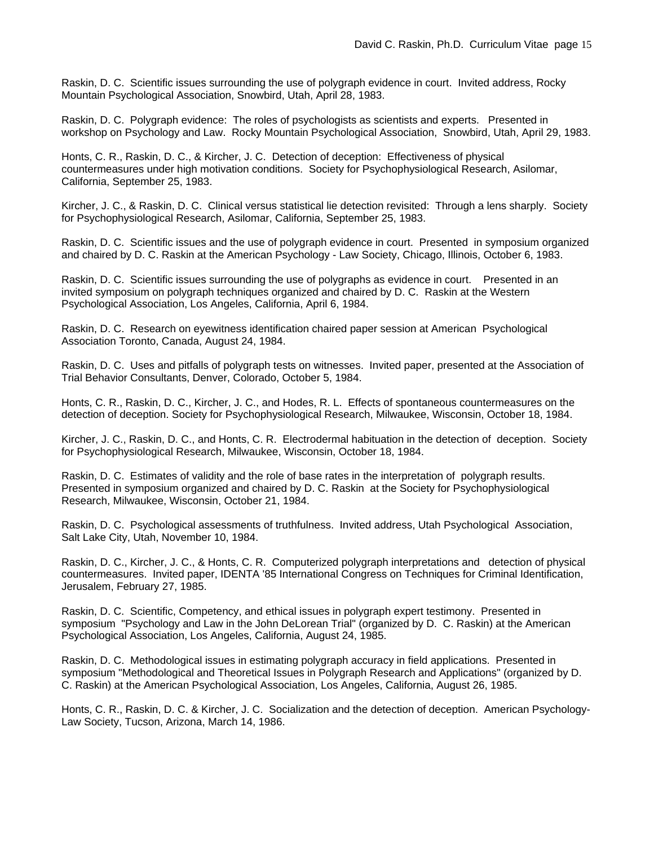Raskin, D. C. Scientific issues surrounding the use of polygraph evidence in court. Invited address, Rocky Mountain Psychological Association, Snowbird, Utah, April 28, 1983.

Raskin, D. C. Polygraph evidence: The roles of psychologists as scientists and experts. Presented in workshop on Psychology and Law. Rocky Mountain Psychological Association, Snowbird, Utah, April 29, 1983.

Honts, C. R., Raskin, D. C., & Kircher, J. C. Detection of deception: Effectiveness of physical countermeasures under high motivation conditions. Society for Psychophysiological Research, Asilomar, California, September 25, 1983.

Kircher, J. C., & Raskin, D. C. Clinical versus statistical lie detection revisited: Through a lens sharply. Society for Psychophysiological Research, Asilomar, California, September 25, 1983.

Raskin, D. C. Scientific issues and the use of polygraph evidence in court. Presented in symposium organized and chaired by D. C. Raskin at the American Psychology - Law Society, Chicago, Illinois, October 6, 1983.

Raskin, D. C. Scientific issues surrounding the use of polygraphs as evidence in court. Presented in an invited symposium on polygraph techniques organized and chaired by D. C. Raskin at the Western Psychological Association, Los Angeles, California, April 6, 1984.

Raskin, D. C. Research on eyewitness identification chaired paper session at American Psychological Association Toronto, Canada, August 24, 1984.

Raskin, D. C. Uses and pitfalls of polygraph tests on witnesses. Invited paper, presented at the Association of Trial Behavior Consultants, Denver, Colorado, October 5, 1984.

Honts, C. R., Raskin, D. C., Kircher, J. C., and Hodes, R. L. Effects of spontaneous countermeasures on the detection of deception. Society for Psychophysiological Research, Milwaukee, Wisconsin, October 18, 1984.

Kircher, J. C., Raskin, D. C., and Honts, C. R. Electrodermal habituation in the detection of deception. Society for Psychophysiological Research, Milwaukee, Wisconsin, October 18, 1984.

Raskin, D. C. Estimates of validity and the role of base rates in the interpretation of polygraph results. Presented in symposium organized and chaired by D. C. Raskin at the Society for Psychophysiological Research, Milwaukee, Wisconsin, October 21, 1984.

Raskin, D. C. Psychological assessments of truthfulness. Invited address, Utah Psychological Association, Salt Lake City, Utah, November 10, 1984.

Raskin, D. C., Kircher, J. C., & Honts, C. R. Computerized polygraph interpretations and detection of physical countermeasures. Invited paper, IDENTA '85 International Congress on Techniques for Criminal Identification, Jerusalem, February 27, 1985.

Raskin, D. C. Scientific, Competency, and ethical issues in polygraph expert testimony. Presented in symposium "Psychology and Law in the John DeLorean Trial" (organized by D. C. Raskin) at the American Psychological Association, Los Angeles, California, August 24, 1985.

Raskin, D. C. Methodological issues in estimating polygraph accuracy in field applications. Presented in symposium "Methodological and Theoretical Issues in Polygraph Research and Applications" (organized by D. C. Raskin) at the American Psychological Association, Los Angeles, California, August 26, 1985.

Honts, C. R., Raskin, D. C. & Kircher, J. C. Socialization and the detection of deception. American Psychology-Law Society, Tucson, Arizona, March 14, 1986.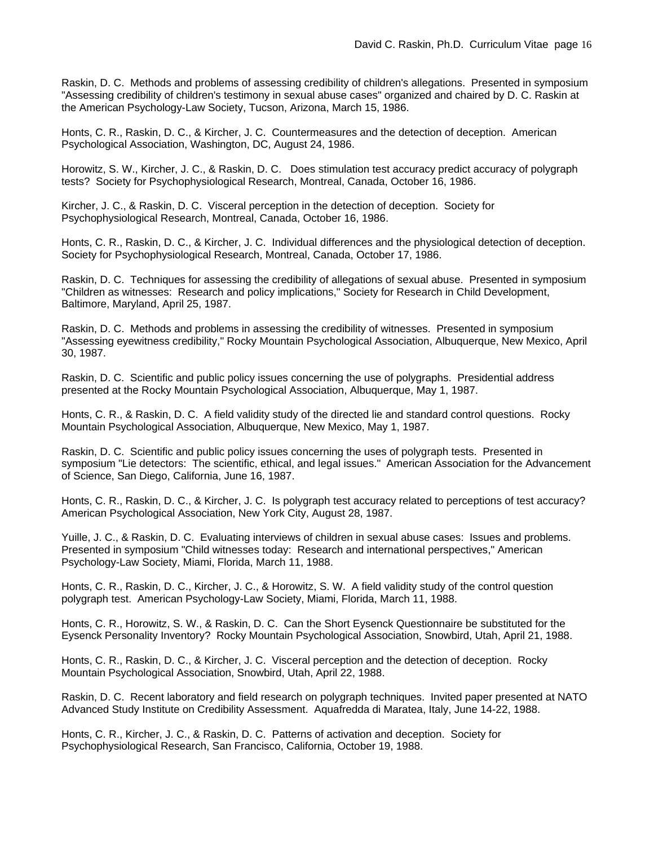Raskin, D. C. Methods and problems of assessing credibility of children's allegations. Presented in symposium "Assessing credibility of children's testimony in sexual abuse cases" organized and chaired by D. C. Raskin at the American Psychology-Law Society, Tucson, Arizona, March 15, 1986.

Honts, C. R., Raskin, D. C., & Kircher, J. C. Countermeasures and the detection of deception. American Psychological Association, Washington, DC, August 24, 1986.

Horowitz, S. W., Kircher, J. C., & Raskin, D. C. Does stimulation test accuracy predict accuracy of polygraph tests? Society for Psychophysiological Research, Montreal, Canada, October 16, 1986.

Kircher, J. C., & Raskin, D. C. Visceral perception in the detection of deception. Society for Psychophysiological Research, Montreal, Canada, October 16, 1986.

Honts, C. R., Raskin, D. C., & Kircher, J. C. Individual differences and the physiological detection of deception. Society for Psychophysiological Research, Montreal, Canada, October 17, 1986.

Raskin, D. C. Techniques for assessing the credibility of allegations of sexual abuse. Presented in symposium "Children as witnesses: Research and policy implications," Society for Research in Child Development, Baltimore, Maryland, April 25, 1987.

Raskin, D. C. Methods and problems in assessing the credibility of witnesses. Presented in symposium "Assessing eyewitness credibility," Rocky Mountain Psychological Association, Albuquerque, New Mexico, April 30, 1987.

Raskin, D. C. Scientific and public policy issues concerning the use of polygraphs. Presidential address presented at the Rocky Mountain Psychological Association, Albuquerque, May 1, 1987.

Honts, C. R., & Raskin, D. C. A field validity study of the directed lie and standard control questions. Rocky Mountain Psychological Association, Albuquerque, New Mexico, May 1, 1987.

Raskin, D. C. Scientific and public policy issues concerning the uses of polygraph tests. Presented in symposium "Lie detectors: The scientific, ethical, and legal issues." American Association for the Advancement of Science, San Diego, California, June 16, 1987.

Honts, C. R., Raskin, D. C., & Kircher, J. C. Is polygraph test accuracy related to perceptions of test accuracy? American Psychological Association, New York City, August 28, 1987.

Yuille, J. C., & Raskin, D. C. Evaluating interviews of children in sexual abuse cases: Issues and problems. Presented in symposium "Child witnesses today: Research and international perspectives," American Psychology-Law Society, Miami, Florida, March 11, 1988.

Honts, C. R., Raskin, D. C., Kircher, J. C., & Horowitz, S. W. A field validity study of the control question polygraph test. American Psychology-Law Society, Miami, Florida, March 11, 1988.

Honts, C. R., Horowitz, S. W., & Raskin, D. C. Can the Short Eysenck Questionnaire be substituted for the Eysenck Personality Inventory? Rocky Mountain Psychological Association, Snowbird, Utah, April 21, 1988.

Honts, C. R., Raskin, D. C., & Kircher, J. C. Visceral perception and the detection of deception. Rocky Mountain Psychological Association, Snowbird, Utah, April 22, 1988.

Raskin, D. C. Recent laboratory and field research on polygraph techniques. Invited paper presented at NATO Advanced Study Institute on Credibility Assessment. Aquafredda di Maratea, Italy, June 14-22, 1988.

Honts, C. R., Kircher, J. C., & Raskin, D. C. Patterns of activation and deception. Society for Psychophysiological Research, San Francisco, California, October 19, 1988.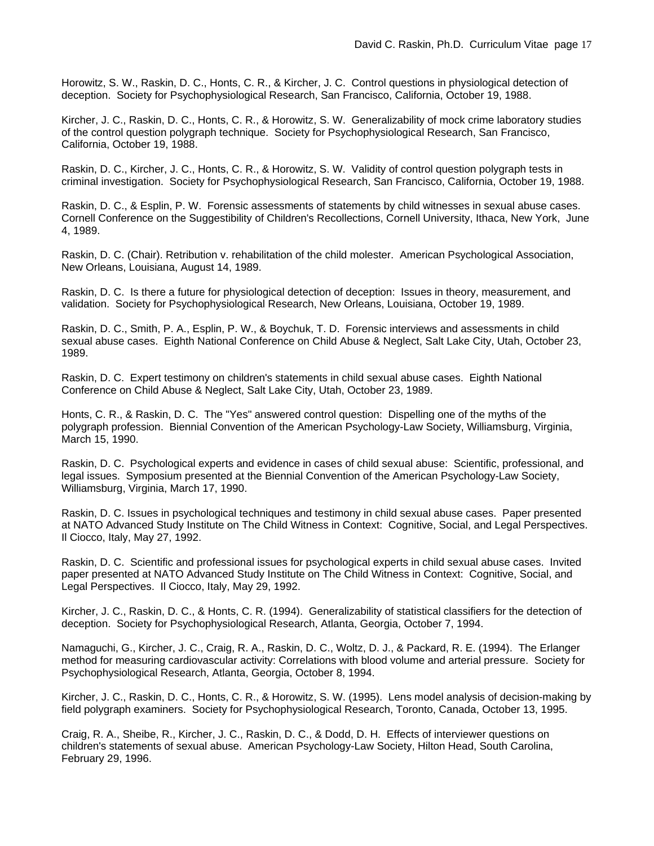Horowitz, S. W., Raskin, D. C., Honts, C. R., & Kircher, J. C. Control questions in physiological detection of deception. Society for Psychophysiological Research, San Francisco, California, October 19, 1988.

Kircher, J. C., Raskin, D. C., Honts, C. R., & Horowitz, S. W. Generalizability of mock crime laboratory studies of the control question polygraph technique. Society for Psychophysiological Research, San Francisco, California, October 19, 1988.

Raskin, D. C., Kircher, J. C., Honts, C. R., & Horowitz, S. W. Validity of control question polygraph tests in criminal investigation. Society for Psychophysiological Research, San Francisco, California, October 19, 1988.

Raskin, D. C., & Esplin, P. W. Forensic assessments of statements by child witnesses in sexual abuse cases. Cornell Conference on the Suggestibility of Children's Recollections, Cornell University, Ithaca, New York, June 4, 1989.

Raskin, D. C. (Chair). Retribution v. rehabilitation of the child molester. American Psychological Association, New Orleans, Louisiana, August 14, 1989.

Raskin, D. C. Is there a future for physiological detection of deception: Issues in theory, measurement, and validation. Society for Psychophysiological Research, New Orleans, Louisiana, October 19, 1989.

Raskin, D. C., Smith, P. A., Esplin, P. W., & Boychuk, T. D. Forensic interviews and assessments in child sexual abuse cases. Eighth National Conference on Child Abuse & Neglect, Salt Lake City, Utah, October 23, 1989.

Raskin, D. C. Expert testimony on children's statements in child sexual abuse cases. Eighth National Conference on Child Abuse & Neglect, Salt Lake City, Utah, October 23, 1989.

Honts, C. R., & Raskin, D. C. The "Yes" answered control question: Dispelling one of the myths of the polygraph profession. Biennial Convention of the American Psychology-Law Society, Williamsburg, Virginia, March 15, 1990.

Raskin, D. C. Psychological experts and evidence in cases of child sexual abuse: Scientific, professional, and legal issues. Symposium presented at the Biennial Convention of the American Psychology-Law Society, Williamsburg, Virginia, March 17, 1990.

Raskin, D. C. Issues in psychological techniques and testimony in child sexual abuse cases. Paper presented at NATO Advanced Study Institute on The Child Witness in Context: Cognitive, Social, and Legal Perspectives. Il Ciocco, Italy, May 27, 1992.

Raskin, D. C. Scientific and professional issues for psychological experts in child sexual abuse cases. Invited paper presented at NATO Advanced Study Institute on The Child Witness in Context: Cognitive, Social, and Legal Perspectives. Il Ciocco, Italy, May 29, 1992.

Kircher, J. C., Raskin, D. C., & Honts, C. R. (1994). Generalizability of statistical classifiers for the detection of deception. Society for Psychophysiological Research, Atlanta, Georgia, October 7, 1994.

Namaguchi, G., Kircher, J. C., Craig, R. A., Raskin, D. C., Woltz, D. J., & Packard, R. E. (1994). The Erlanger method for measuring cardiovascular activity: Correlations with blood volume and arterial pressure. Society for Psychophysiological Research, Atlanta, Georgia, October 8, 1994.

Kircher, J. C., Raskin, D. C., Honts, C. R., & Horowitz, S. W. (1995). Lens model analysis of decision-making by field polygraph examiners. Society for Psychophysiological Research, Toronto, Canada, October 13, 1995.

Craig, R. A., Sheibe, R., Kircher, J. C., Raskin, D. C., & Dodd, D. H. Effects of interviewer questions on children's statements of sexual abuse. American Psychology-Law Society, Hilton Head, South Carolina, February 29, 1996.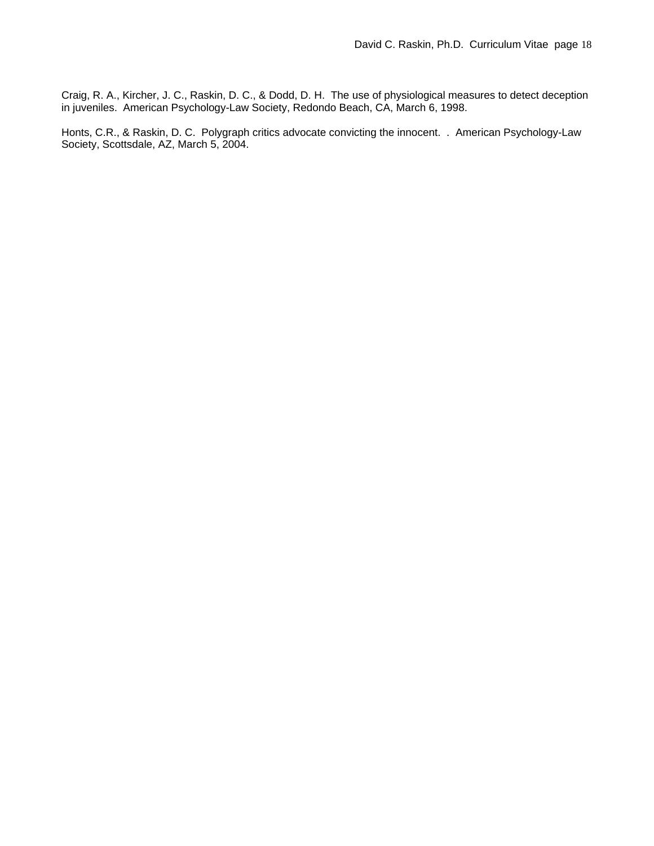Craig, R. A., Kircher, J. C., Raskin, D. C., & Dodd, D. H. The use of physiological measures to detect deception in juveniles. American Psychology-Law Society, Redondo Beach, CA, March 6, 1998.

Honts, C.R., & Raskin, D. C. Polygraph critics advocate convicting the innocent. . American Psychology-Law Society, Scottsdale, AZ, March 5, 2004.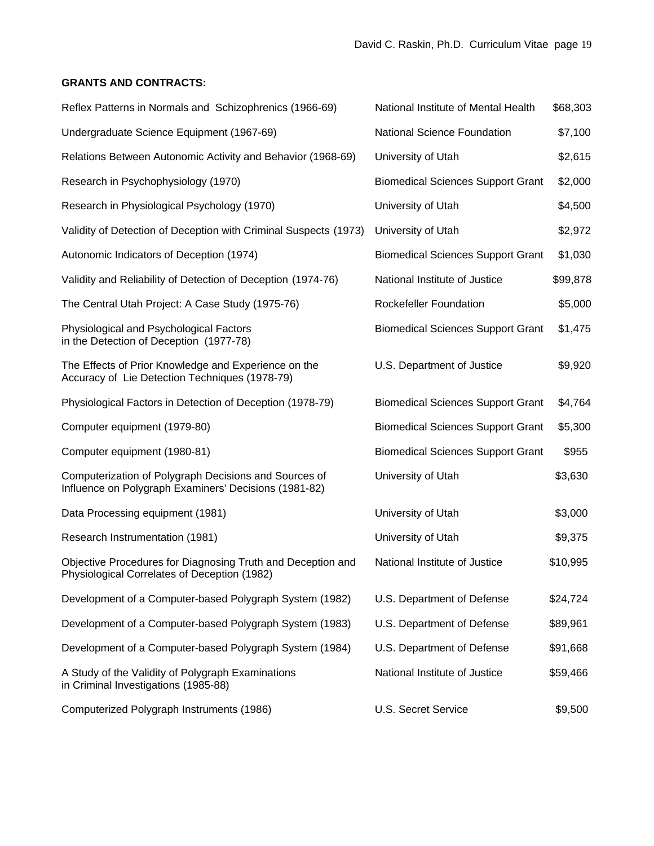# **GRANTS AND CONTRACTS:**

| Reflex Patterns in Normals and Schizophrenics (1966-69)                                                        | National Institute of Mental Health      | \$68,303 |
|----------------------------------------------------------------------------------------------------------------|------------------------------------------|----------|
| Undergraduate Science Equipment (1967-69)                                                                      | <b>National Science Foundation</b>       | \$7,100  |
| Relations Between Autonomic Activity and Behavior (1968-69)                                                    | University of Utah                       | \$2,615  |
| Research in Psychophysiology (1970)                                                                            | <b>Biomedical Sciences Support Grant</b> | \$2,000  |
| Research in Physiological Psychology (1970)                                                                    | University of Utah                       | \$4,500  |
| Validity of Detection of Deception with Criminal Suspects (1973)                                               | University of Utah                       | \$2,972  |
| Autonomic Indicators of Deception (1974)                                                                       | <b>Biomedical Sciences Support Grant</b> | \$1,030  |
| Validity and Reliability of Detection of Deception (1974-76)                                                   | National Institute of Justice            | \$99,878 |
| The Central Utah Project: A Case Study (1975-76)                                                               | Rockefeller Foundation                   | \$5,000  |
| Physiological and Psychological Factors<br>in the Detection of Deception (1977-78)                             | <b>Biomedical Sciences Support Grant</b> | \$1,475  |
| The Effects of Prior Knowledge and Experience on the<br>Accuracy of Lie Detection Techniques (1978-79)         | U.S. Department of Justice               | \$9,920  |
| Physiological Factors in Detection of Deception (1978-79)                                                      | <b>Biomedical Sciences Support Grant</b> | \$4,764  |
| Computer equipment (1979-80)                                                                                   | <b>Biomedical Sciences Support Grant</b> | \$5,300  |
| Computer equipment (1980-81)                                                                                   | <b>Biomedical Sciences Support Grant</b> | \$955    |
| Computerization of Polygraph Decisions and Sources of<br>Influence on Polygraph Examiners' Decisions (1981-82) | University of Utah                       | \$3,630  |
| Data Processing equipment (1981)                                                                               | University of Utah                       | \$3,000  |
| Research Instrumentation (1981)                                                                                | University of Utah                       | \$9,375  |
| Objective Procedures for Diagnosing Truth and Deception and<br>Physiological Correlates of Deception (1982)    | National Institute of Justice            | \$10,995 |
| Development of a Computer-based Polygraph System (1982)                                                        | U.S. Department of Defense               | \$24,724 |
| Development of a Computer-based Polygraph System (1983)                                                        | U.S. Department of Defense               | \$89,961 |
| Development of a Computer-based Polygraph System (1984)                                                        | U.S. Department of Defense               | \$91,668 |
| A Study of the Validity of Polygraph Examinations<br>in Criminal Investigations (1985-88)                      | National Institute of Justice            | \$59,466 |
| Computerized Polygraph Instruments (1986)                                                                      | U.S. Secret Service                      | \$9,500  |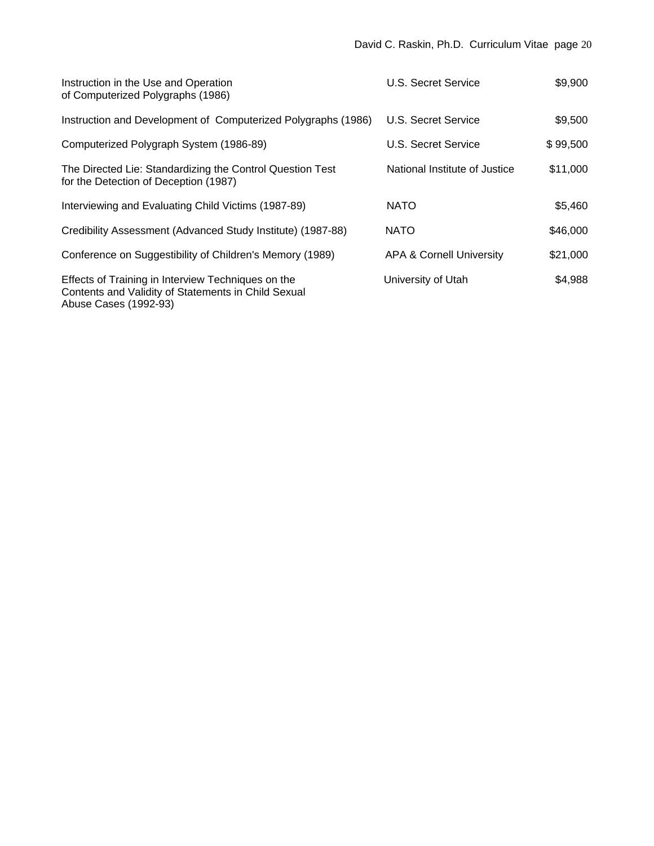| Instruction in the Use and Operation<br>of Computerized Polygraphs (1986)                                                          | U.S. Secret Service                 | \$9,900  |
|------------------------------------------------------------------------------------------------------------------------------------|-------------------------------------|----------|
| Instruction and Development of Computerized Polygraphs (1986)                                                                      | U.S. Secret Service                 | \$9,500  |
| Computerized Polygraph System (1986-89)                                                                                            | U.S. Secret Service                 | \$99,500 |
| The Directed Lie: Standardizing the Control Question Test<br>for the Detection of Deception (1987)                                 | National Institute of Justice       | \$11,000 |
| Interviewing and Evaluating Child Victims (1987-89)                                                                                | <b>NATO</b>                         | \$5,460  |
| Credibility Assessment (Advanced Study Institute) (1987-88)                                                                        | <b>NATO</b>                         | \$46,000 |
| Conference on Suggestibility of Children's Memory (1989)                                                                           | <b>APA &amp; Cornell University</b> | \$21,000 |
| Effects of Training in Interview Techniques on the<br>Contents and Validity of Statements in Child Sexual<br>Abuse Cases (1992-93) | University of Utah                  | \$4,988  |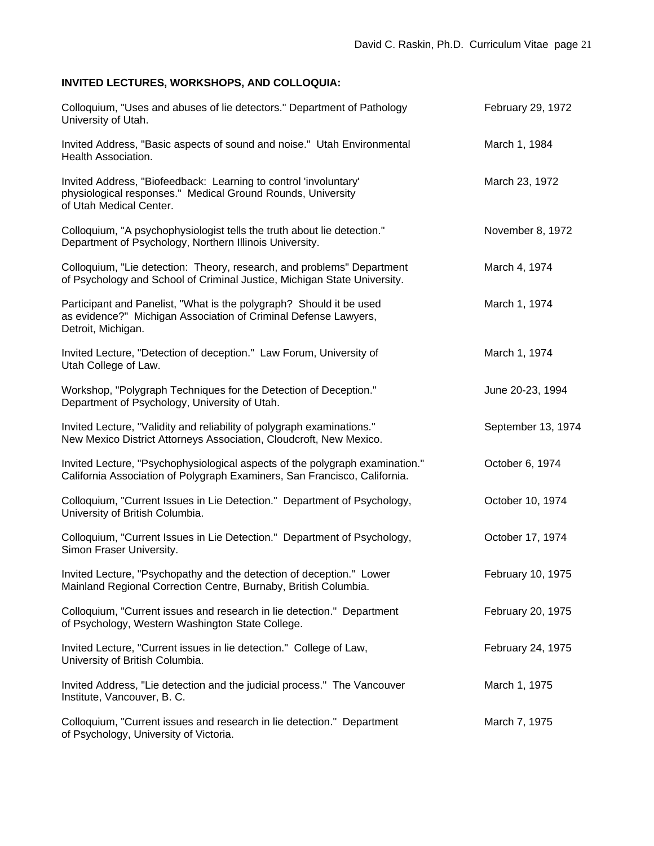# **INVITED LECTURES, WORKSHOPS, AND COLLOQUIA:**

| Colloquium, "Uses and abuses of lie detectors." Department of Pathology<br>University of Utah.                                                               | February 29, 1972  |
|--------------------------------------------------------------------------------------------------------------------------------------------------------------|--------------------|
| Invited Address, "Basic aspects of sound and noise." Utah Environmental<br>Health Association.                                                               | March 1, 1984      |
| Invited Address, "Biofeedback: Learning to control 'involuntary'<br>physiological responses." Medical Ground Rounds, University<br>of Utah Medical Center.   | March 23, 1972     |
| Colloquium, "A psychophysiologist tells the truth about lie detection."<br>Department of Psychology, Northern Illinois University.                           | November 8, 1972   |
| Colloquium, "Lie detection: Theory, research, and problems" Department<br>of Psychology and School of Criminal Justice, Michigan State University.           | March 4, 1974      |
| Participant and Panelist, "What is the polygraph? Should it be used<br>as evidence?" Michigan Association of Criminal Defense Lawyers,<br>Detroit, Michigan. | March 1, 1974      |
| Invited Lecture, "Detection of deception." Law Forum, University of<br>Utah College of Law.                                                                  | March 1, 1974      |
| Workshop, "Polygraph Techniques for the Detection of Deception."<br>Department of Psychology, University of Utah.                                            | June 20-23, 1994   |
| Invited Lecture, "Validity and reliability of polygraph examinations."<br>New Mexico District Attorneys Association, Cloudcroft, New Mexico.                 | September 13, 1974 |
| Invited Lecture, "Psychophysiological aspects of the polygraph examination."<br>California Association of Polygraph Examiners, San Francisco, California.    | October 6, 1974    |
| Colloquium, "Current Issues in Lie Detection." Department of Psychology,<br>University of British Columbia.                                                  | October 10, 1974   |
| Colloquium, "Current Issues in Lie Detection." Department of Psychology,<br>Simon Fraser University.                                                         | October 17, 1974   |
| Invited Lecture, "Psychopathy and the detection of deception." Lower<br>Mainland Regional Correction Centre, Burnaby, British Columbia.                      | February 10, 1975  |
| Colloquium, "Current issues and research in lie detection." Department<br>of Psychology, Western Washington State College.                                   | February 20, 1975  |
| Invited Lecture, "Current issues in lie detection." College of Law,<br>University of British Columbia.                                                       | February 24, 1975  |
| Invited Address, "Lie detection and the judicial process." The Vancouver<br>Institute, Vancouver, B. C.                                                      | March 1, 1975      |
| Colloquium, "Current issues and research in lie detection." Department<br>of Psychology, University of Victoria.                                             | March 7, 1975      |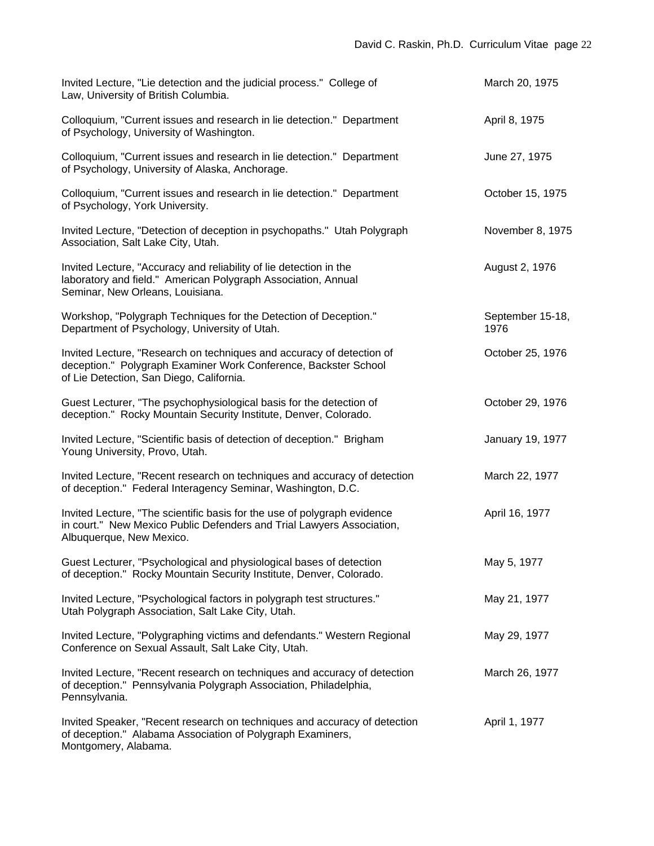| Invited Lecture, "Lie detection and the judicial process." College of<br>Law, University of British Columbia.                                                                        | March 20, 1975           |
|--------------------------------------------------------------------------------------------------------------------------------------------------------------------------------------|--------------------------|
| Colloquium, "Current issues and research in lie detection." Department<br>of Psychology, University of Washington.                                                                   | April 8, 1975            |
| Colloquium, "Current issues and research in lie detection." Department<br>of Psychology, University of Alaska, Anchorage.                                                            | June 27, 1975            |
| Colloquium, "Current issues and research in lie detection." Department<br>of Psychology, York University.                                                                            | October 15, 1975         |
| Invited Lecture, "Detection of deception in psychopaths." Utah Polygraph<br>Association, Salt Lake City, Utah.                                                                       | November 8, 1975         |
| Invited Lecture, "Accuracy and reliability of lie detection in the<br>laboratory and field." American Polygraph Association, Annual<br>Seminar, New Orleans, Louisiana.              | August 2, 1976           |
| Workshop, "Polygraph Techniques for the Detection of Deception."<br>Department of Psychology, University of Utah.                                                                    | September 15-18,<br>1976 |
| Invited Lecture, "Research on techniques and accuracy of detection of<br>deception." Polygraph Examiner Work Conference, Backster School<br>of Lie Detection, San Diego, California. | October 25, 1976         |
| Guest Lecturer, "The psychophysiological basis for the detection of<br>deception." Rocky Mountain Security Institute, Denver, Colorado.                                              | October 29, 1976         |
| Invited Lecture, "Scientific basis of detection of deception." Brigham<br>Young University, Provo, Utah.                                                                             | January 19, 1977         |
| Invited Lecture, "Recent research on techniques and accuracy of detection<br>of deception." Federal Interagency Seminar, Washington, D.C.                                            | March 22, 1977           |
| Invited Lecture, "The scientific basis for the use of polygraph evidence<br>in court." New Mexico Public Defenders and Trial Lawyers Association,<br>Albuquerque, New Mexico.        | April 16, 1977           |
| Guest Lecturer, "Psychological and physiological bases of detection<br>of deception." Rocky Mountain Security Institute, Denver, Colorado.                                           | May 5, 1977              |
| Invited Lecture, "Psychological factors in polygraph test structures."<br>Utah Polygraph Association, Salt Lake City, Utah.                                                          | May 21, 1977             |
| Invited Lecture, "Polygraphing victims and defendants." Western Regional<br>Conference on Sexual Assault, Salt Lake City, Utah.                                                      | May 29, 1977             |
| Invited Lecture, "Recent research on techniques and accuracy of detection<br>of deception." Pennsylvania Polygraph Association, Philadelphia,<br>Pennsylvania.                       | March 26, 1977           |
| Invited Speaker, "Recent research on techniques and accuracy of detection<br>of deception." Alabama Association of Polygraph Examiners,<br>Montgomery, Alabama.                      | April 1, 1977            |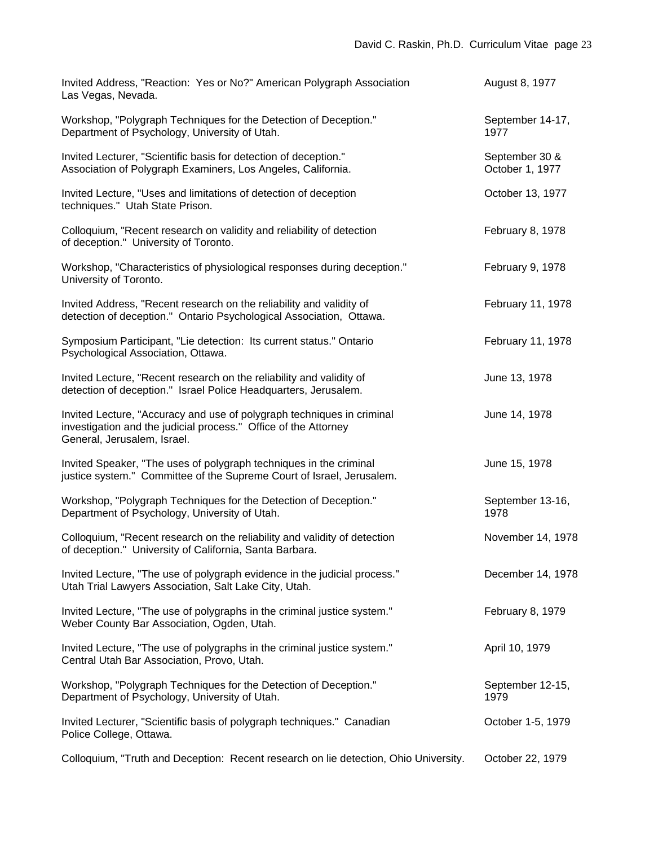| Invited Address, "Reaction: Yes or No?" American Polygraph Association<br>Las Vegas, Nevada.                                                                             | August 8, 1977                    |
|--------------------------------------------------------------------------------------------------------------------------------------------------------------------------|-----------------------------------|
| Workshop, "Polygraph Techniques for the Detection of Deception."<br>Department of Psychology, University of Utah.                                                        | September 14-17,<br>1977          |
| Invited Lecturer, "Scientific basis for detection of deception."<br>Association of Polygraph Examiners, Los Angeles, California.                                         | September 30 &<br>October 1, 1977 |
| Invited Lecture, "Uses and limitations of detection of deception<br>techniques." Utah State Prison.                                                                      | October 13, 1977                  |
| Colloquium, "Recent research on validity and reliability of detection<br>of deception." University of Toronto.                                                           | February 8, 1978                  |
| Workshop, "Characteristics of physiological responses during deception."<br>University of Toronto.                                                                       | February 9, 1978                  |
| Invited Address, "Recent research on the reliability and validity of<br>detection of deception." Ontario Psychological Association, Ottawa.                              | February 11, 1978                 |
| Symposium Participant, "Lie detection: Its current status." Ontario<br>Psychological Association, Ottawa.                                                                | February 11, 1978                 |
| Invited Lecture, "Recent research on the reliability and validity of<br>detection of deception." Israel Police Headquarters, Jerusalem.                                  | June 13, 1978                     |
| Invited Lecture, "Accuracy and use of polygraph techniques in criminal<br>investigation and the judicial process." Office of the Attorney<br>General, Jerusalem, Israel. | June 14, 1978                     |
| Invited Speaker, "The uses of polygraph techniques in the criminal<br>justice system." Committee of the Supreme Court of Israel, Jerusalem.                              | June 15, 1978                     |
| Workshop, "Polygraph Techniques for the Detection of Deception."<br>Department of Psychology, University of Utah.                                                        | September 13-16,<br>1978          |
| Colloquium, "Recent research on the reliability and validity of detection<br>of deception." University of California, Santa Barbara.                                     | November 14, 1978                 |
| Invited Lecture, "The use of polygraph evidence in the judicial process."<br>Utah Trial Lawyers Association, Salt Lake City, Utah.                                       | December 14, 1978                 |
| Invited Lecture, "The use of polygraphs in the criminal justice system."<br>Weber County Bar Association, Ogden, Utah.                                                   | February 8, 1979                  |
| Invited Lecture, "The use of polygraphs in the criminal justice system."<br>Central Utah Bar Association, Provo, Utah.                                                   | April 10, 1979                    |
| Workshop, "Polygraph Techniques for the Detection of Deception."<br>Department of Psychology, University of Utah.                                                        | September 12-15,<br>1979          |
| Invited Lecturer, "Scientific basis of polygraph techniques." Canadian<br>Police College, Ottawa.                                                                        | October 1-5, 1979                 |
| Colloquium, "Truth and Deception: Recent research on lie detection, Ohio University.                                                                                     | October 22, 1979                  |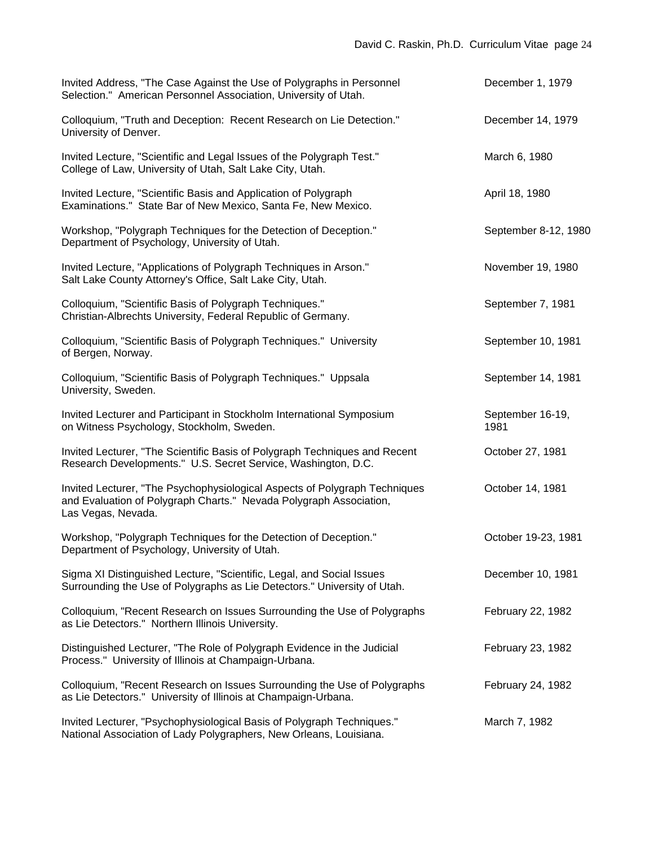| Invited Address, "The Case Against the Use of Polygraphs in Personnel<br>Selection." American Personnel Association, University of Utah.                               | December 1, 1979         |
|------------------------------------------------------------------------------------------------------------------------------------------------------------------------|--------------------------|
| Colloquium, "Truth and Deception: Recent Research on Lie Detection."<br>University of Denver.                                                                          | December 14, 1979        |
| Invited Lecture, "Scientific and Legal Issues of the Polygraph Test."<br>College of Law, University of Utah, Salt Lake City, Utah.                                     | March 6, 1980            |
| Invited Lecture, "Scientific Basis and Application of Polygraph<br>Examinations." State Bar of New Mexico, Santa Fe, New Mexico.                                       | April 18, 1980           |
| Workshop, "Polygraph Techniques for the Detection of Deception."<br>Department of Psychology, University of Utah.                                                      | September 8-12, 1980     |
| Invited Lecture, "Applications of Polygraph Techniques in Arson."<br>Salt Lake County Attorney's Office, Salt Lake City, Utah.                                         | November 19, 1980        |
| Colloquium, "Scientific Basis of Polygraph Techniques."<br>Christian-Albrechts University, Federal Republic of Germany.                                                | September 7, 1981        |
| Colloquium, "Scientific Basis of Polygraph Techniques." University<br>of Bergen, Norway.                                                                               | September 10, 1981       |
| Colloquium, "Scientific Basis of Polygraph Techniques." Uppsala<br>University, Sweden.                                                                                 | September 14, 1981       |
| Invited Lecturer and Participant in Stockholm International Symposium<br>on Witness Psychology, Stockholm, Sweden.                                                     | September 16-19,<br>1981 |
| Invited Lecturer, "The Scientific Basis of Polygraph Techniques and Recent<br>Research Developments." U.S. Secret Service, Washington, D.C.                            | October 27, 1981         |
| Invited Lecturer, "The Psychophysiological Aspects of Polygraph Techniques<br>and Evaluation of Polygraph Charts." Nevada Polygraph Association,<br>Las Vegas, Nevada. | October 14, 1981         |
| Workshop, "Polygraph Techniques for the Detection of Deception."<br>Department of Psychology, University of Utah.                                                      | October 19-23, 1981      |
| Sigma XI Distinguished Lecture, "Scientific, Legal, and Social Issues<br>Surrounding the Use of Polygraphs as Lie Detectors." University of Utah.                      | December 10, 1981        |
| Colloquium, "Recent Research on Issues Surrounding the Use of Polygraphs<br>as Lie Detectors." Northern Illinois University.                                           | February 22, 1982        |
| Distinguished Lecturer, "The Role of Polygraph Evidence in the Judicial<br>Process." University of Illinois at Champaign-Urbana.                                       | February 23, 1982        |
| Colloquium, "Recent Research on Issues Surrounding the Use of Polygraphs<br>as Lie Detectors." University of Illinois at Champaign-Urbana.                             | February 24, 1982        |
| Invited Lecturer, "Psychophysiological Basis of Polygraph Techniques."<br>National Association of Lady Polygraphers, New Orleans, Louisiana.                           | March 7, 1982            |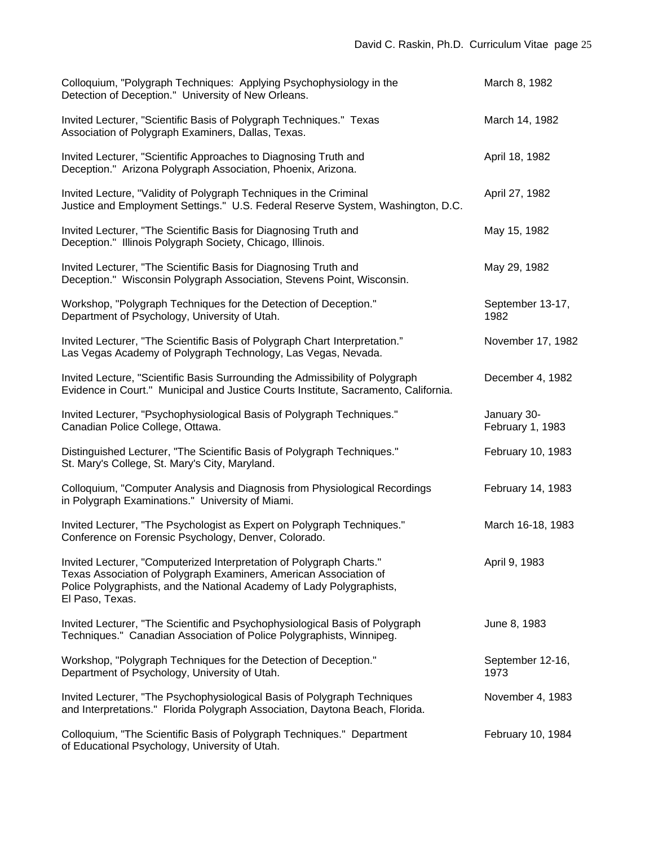| Colloquium, "Polygraph Techniques: Applying Psychophysiology in the<br>Detection of Deception." University of New Orleans.                                                                                                            | March 8, 1982                   |
|---------------------------------------------------------------------------------------------------------------------------------------------------------------------------------------------------------------------------------------|---------------------------------|
| Invited Lecturer, "Scientific Basis of Polygraph Techniques." Texas<br>Association of Polygraph Examiners, Dallas, Texas.                                                                                                             | March 14, 1982                  |
| Invited Lecturer, "Scientific Approaches to Diagnosing Truth and<br>Deception." Arizona Polygraph Association, Phoenix, Arizona.                                                                                                      | April 18, 1982                  |
| Invited Lecture, "Validity of Polygraph Techniques in the Criminal<br>Justice and Employment Settings." U.S. Federal Reserve System, Washington, D.C.                                                                                 | April 27, 1982                  |
| Invited Lecturer, "The Scientific Basis for Diagnosing Truth and<br>Deception." Illinois Polygraph Society, Chicago, Illinois.                                                                                                        | May 15, 1982                    |
| Invited Lecturer, "The Scientific Basis for Diagnosing Truth and<br>Deception." Wisconsin Polygraph Association, Stevens Point, Wisconsin.                                                                                            | May 29, 1982                    |
| Workshop, "Polygraph Techniques for the Detection of Deception."<br>Department of Psychology, University of Utah.                                                                                                                     | September 13-17,<br>1982        |
| Invited Lecturer, "The Scientific Basis of Polygraph Chart Interpretation."<br>Las Vegas Academy of Polygraph Technology, Las Vegas, Nevada.                                                                                          | November 17, 1982               |
| Invited Lecture, "Scientific Basis Surrounding the Admissibility of Polygraph<br>Evidence in Court." Municipal and Justice Courts Institute, Sacramento, California.                                                                  | December 4, 1982                |
| Invited Lecturer, "Psychophysiological Basis of Polygraph Techniques."<br>Canadian Police College, Ottawa.                                                                                                                            | January 30-<br>February 1, 1983 |
| Distinguished Lecturer, "The Scientific Basis of Polygraph Techniques."<br>St. Mary's College, St. Mary's City, Maryland.                                                                                                             | February 10, 1983               |
| Colloquium, "Computer Analysis and Diagnosis from Physiological Recordings<br>in Polygraph Examinations." University of Miami.                                                                                                        | February 14, 1983               |
| Invited Lecturer, "The Psychologist as Expert on Polygraph Techniques."<br>Conference on Forensic Psychology, Denver, Colorado.                                                                                                       | March 16-18, 1983               |
| Invited Lecturer, "Computerized Interpretation of Polygraph Charts."<br>Texas Association of Polygraph Examiners, American Association of<br>Police Polygraphists, and the National Academy of Lady Polygraphists,<br>El Paso, Texas. | April 9, 1983                   |
| Invited Lecturer, "The Scientific and Psychophysiological Basis of Polygraph<br>Techniques." Canadian Association of Police Polygraphists, Winnipeg.                                                                                  | June 8, 1983                    |
| Workshop, "Polygraph Techniques for the Detection of Deception."<br>Department of Psychology, University of Utah.                                                                                                                     | September 12-16,<br>1973        |
| Invited Lecturer, "The Psychophysiological Basis of Polygraph Techniques<br>and Interpretations." Florida Polygraph Association, Daytona Beach, Florida.                                                                              | November 4, 1983                |
| Colloquium, "The Scientific Basis of Polygraph Techniques." Department<br>of Educational Psychology, University of Utah.                                                                                                              | February 10, 1984               |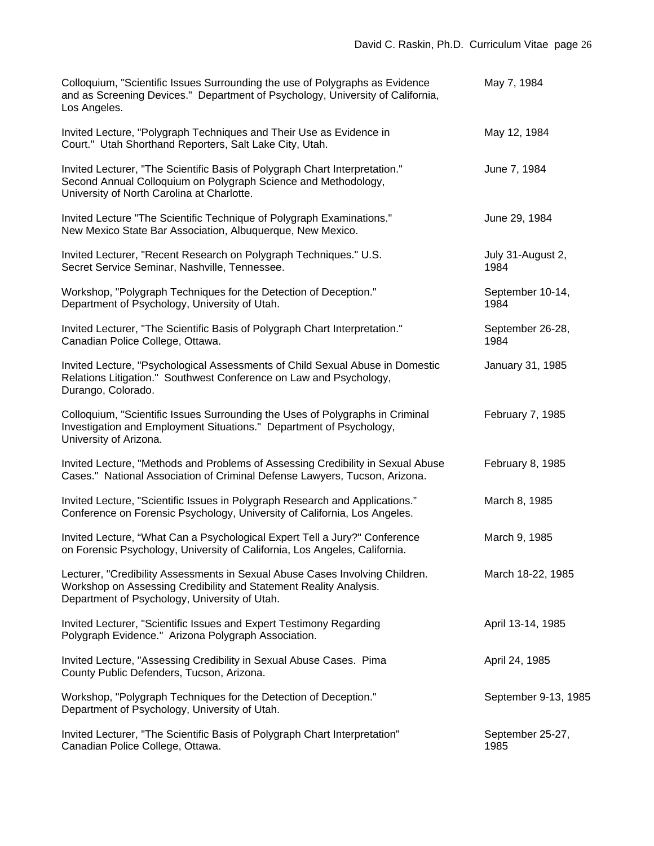| Colloquium, "Scientific Issues Surrounding the use of Polygraphs as Evidence<br>and as Screening Devices." Department of Psychology, University of California,<br>Los Angeles.                     | May 7, 1984               |
|----------------------------------------------------------------------------------------------------------------------------------------------------------------------------------------------------|---------------------------|
| Invited Lecture, "Polygraph Techniques and Their Use as Evidence in<br>Court." Utah Shorthand Reporters, Salt Lake City, Utah.                                                                     | May 12, 1984              |
| Invited Lecturer, "The Scientific Basis of Polygraph Chart Interpretation."<br>Second Annual Colloquium on Polygraph Science and Methodology,<br>University of North Carolina at Charlotte.        | June 7, 1984              |
| Invited Lecture "The Scientific Technique of Polygraph Examinations."<br>New Mexico State Bar Association, Albuquerque, New Mexico.                                                                | June 29, 1984             |
| Invited Lecturer, "Recent Research on Polygraph Techniques." U.S.<br>Secret Service Seminar, Nashville, Tennessee.                                                                                 | July 31-August 2,<br>1984 |
| Workshop, "Polygraph Techniques for the Detection of Deception."<br>Department of Psychology, University of Utah.                                                                                  | September 10-14,<br>1984  |
| Invited Lecturer, "The Scientific Basis of Polygraph Chart Interpretation."<br>Canadian Police College, Ottawa.                                                                                    | September 26-28,<br>1984  |
| Invited Lecture, "Psychological Assessments of Child Sexual Abuse in Domestic<br>Relations Litigation." Southwest Conference on Law and Psychology,<br>Durango, Colorado.                          | January 31, 1985          |
| Colloquium, "Scientific Issues Surrounding the Uses of Polygraphs in Criminal<br>Investigation and Employment Situations." Department of Psychology,<br>University of Arizona.                     | February 7, 1985          |
| Invited Lecture, "Methods and Problems of Assessing Credibility in Sexual Abuse<br>Cases." National Association of Criminal Defense Lawyers, Tucson, Arizona.                                      | February 8, 1985          |
| Invited Lecture, "Scientific Issues in Polygraph Research and Applications."<br>Conference on Forensic Psychology, University of California, Los Angeles.                                          | March 8, 1985             |
| Invited Lecture, "What Can a Psychological Expert Tell a Jury?" Conference<br>on Forensic Psychology, University of California, Los Angeles, California.                                           | March 9, 1985             |
| Lecturer, "Credibility Assessments in Sexual Abuse Cases Involving Children.<br>Workshop on Assessing Credibility and Statement Reality Analysis.<br>Department of Psychology, University of Utah. | March 18-22, 1985         |
| Invited Lecturer, "Scientific Issues and Expert Testimony Regarding<br>Polygraph Evidence." Arizona Polygraph Association.                                                                         | April 13-14, 1985         |
| Invited Lecture, "Assessing Credibility in Sexual Abuse Cases. Pima<br>County Public Defenders, Tucson, Arizona.                                                                                   | April 24, 1985            |
| Workshop, "Polygraph Techniques for the Detection of Deception."<br>Department of Psychology, University of Utah.                                                                                  | September 9-13, 1985      |
| Invited Lecturer, "The Scientific Basis of Polygraph Chart Interpretation"<br>Canadian Police College, Ottawa.                                                                                     | September 25-27,<br>1985  |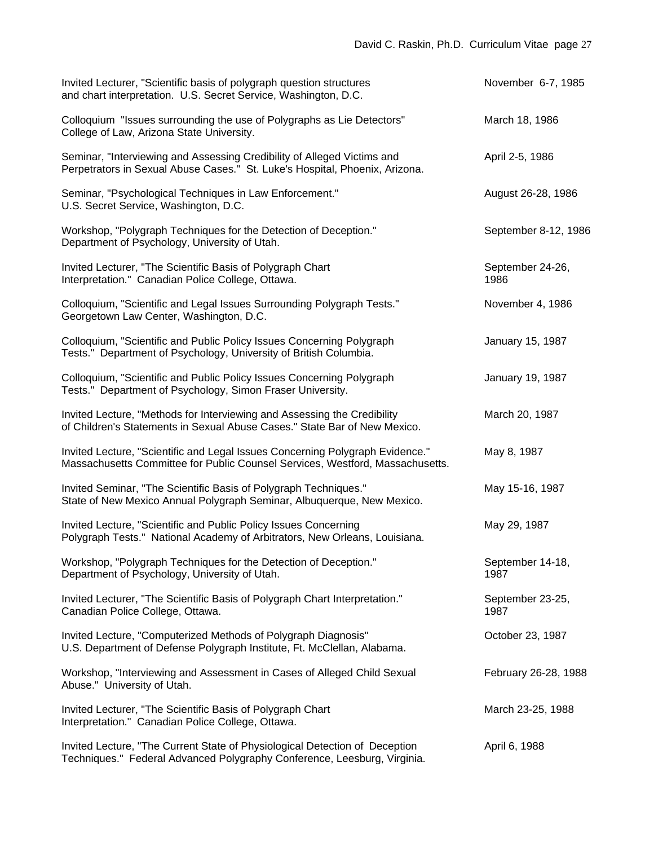| Invited Lecturer, "Scientific basis of polygraph question structures<br>and chart interpretation. U.S. Secret Service, Washington, D.C.                        | November 6-7, 1985       |
|----------------------------------------------------------------------------------------------------------------------------------------------------------------|--------------------------|
| Colloquium "Issues surrounding the use of Polygraphs as Lie Detectors"<br>College of Law, Arizona State University.                                            | March 18, 1986           |
| Seminar, "Interviewing and Assessing Credibility of Alleged Victims and<br>Perpetrators in Sexual Abuse Cases." St. Luke's Hospital, Phoenix, Arizona.         | April 2-5, 1986          |
| Seminar, "Psychological Techniques in Law Enforcement."<br>U.S. Secret Service, Washington, D.C.                                                               | August 26-28, 1986       |
| Workshop, "Polygraph Techniques for the Detection of Deception."<br>Department of Psychology, University of Utah.                                              | September 8-12, 1986     |
| Invited Lecturer, "The Scientific Basis of Polygraph Chart<br>Interpretation." Canadian Police College, Ottawa.                                                | September 24-26,<br>1986 |
| Colloquium, "Scientific and Legal Issues Surrounding Polygraph Tests."<br>Georgetown Law Center, Washington, D.C.                                              | November 4, 1986         |
| Colloquium, "Scientific and Public Policy Issues Concerning Polygraph<br>Tests." Department of Psychology, University of British Columbia.                     | January 15, 1987         |
| Colloquium, "Scientific and Public Policy Issues Concerning Polygraph<br>Tests." Department of Psychology, Simon Fraser University.                            | January 19, 1987         |
| Invited Lecture, "Methods for Interviewing and Assessing the Credibility<br>of Children's Statements in Sexual Abuse Cases." State Bar of New Mexico.          | March 20, 1987           |
| Invited Lecture, "Scientific and Legal Issues Concerning Polygraph Evidence."<br>Massachusetts Committee for Public Counsel Services, Westford, Massachusetts. | May 8, 1987              |
| Invited Seminar, "The Scientific Basis of Polygraph Techniques."<br>State of New Mexico Annual Polygraph Seminar, Albuquerque, New Mexico.                     | May 15-16, 1987          |
| Invited Lecture, "Scientific and Public Policy Issues Concerning<br>Polygraph Tests." National Academy of Arbitrators, New Orleans, Louisiana.                 | May 29, 1987             |
| Workshop, "Polygraph Techniques for the Detection of Deception."<br>Department of Psychology, University of Utah.                                              | September 14-18,<br>1987 |
| Invited Lecturer, "The Scientific Basis of Polygraph Chart Interpretation."<br>Canadian Police College, Ottawa.                                                | September 23-25,<br>1987 |
| Invited Lecture, "Computerized Methods of Polygraph Diagnosis"<br>U.S. Department of Defense Polygraph Institute, Ft. McClellan, Alabama.                      | October 23, 1987         |
| Workshop, "Interviewing and Assessment in Cases of Alleged Child Sexual<br>Abuse." University of Utah.                                                         | February 26-28, 1988     |
| Invited Lecturer, "The Scientific Basis of Polygraph Chart<br>Interpretation." Canadian Police College, Ottawa.                                                | March 23-25, 1988        |
| Invited Lecture, "The Current State of Physiological Detection of Deception<br>Techniques." Federal Advanced Polygraphy Conference, Leesburg, Virginia.        | April 6, 1988            |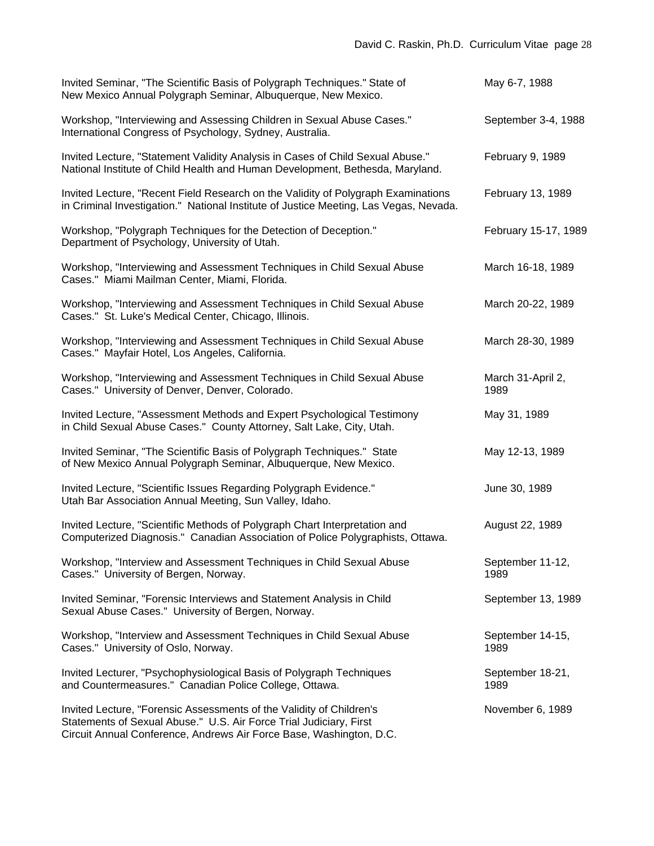| Invited Seminar, "The Scientific Basis of Polygraph Techniques." State of<br>New Mexico Annual Polygraph Seminar, Albuquerque, New Mexico.                                                                        | May 6-7, 1988             |
|-------------------------------------------------------------------------------------------------------------------------------------------------------------------------------------------------------------------|---------------------------|
| Workshop, "Interviewing and Assessing Children in Sexual Abuse Cases."<br>International Congress of Psychology, Sydney, Australia.                                                                                | September 3-4, 1988       |
| Invited Lecture, "Statement Validity Analysis in Cases of Child Sexual Abuse."<br>National Institute of Child Health and Human Development, Bethesda, Maryland.                                                   | February 9, 1989          |
| Invited Lecture, "Recent Field Research on the Validity of Polygraph Examinations<br>in Criminal Investigation." National Institute of Justice Meeting, Las Vegas, Nevada.                                        | February 13, 1989         |
| Workshop, "Polygraph Techniques for the Detection of Deception."<br>Department of Psychology, University of Utah.                                                                                                 | February 15-17, 1989      |
| Workshop, "Interviewing and Assessment Techniques in Child Sexual Abuse<br>Cases." Miami Mailman Center, Miami, Florida.                                                                                          | March 16-18, 1989         |
| Workshop, "Interviewing and Assessment Techniques in Child Sexual Abuse<br>Cases." St. Luke's Medical Center, Chicago, Illinois.                                                                                  | March 20-22, 1989         |
| Workshop, "Interviewing and Assessment Techniques in Child Sexual Abuse<br>Cases." Mayfair Hotel, Los Angeles, California.                                                                                        | March 28-30, 1989         |
| Workshop, "Interviewing and Assessment Techniques in Child Sexual Abuse<br>Cases." University of Denver, Denver, Colorado.                                                                                        | March 31-April 2,<br>1989 |
| Invited Lecture, "Assessment Methods and Expert Psychological Testimony<br>in Child Sexual Abuse Cases." County Attorney, Salt Lake, City, Utah.                                                                  | May 31, 1989              |
| Invited Seminar, "The Scientific Basis of Polygraph Techniques." State<br>of New Mexico Annual Polygraph Seminar, Albuquerque, New Mexico.                                                                        | May 12-13, 1989           |
| Invited Lecture, "Scientific Issues Regarding Polygraph Evidence."<br>Utah Bar Association Annual Meeting, Sun Valley, Idaho.                                                                                     | June 30, 1989             |
| Invited Lecture, "Scientific Methods of Polygraph Chart Interpretation and<br>Computerized Diagnosis." Canadian Association of Police Polygraphists, Ottawa.                                                      | August 22, 1989           |
| Workshop, "Interview and Assessment Techniques in Child Sexual Abuse<br>Cases." University of Bergen, Norway.                                                                                                     | September 11-12,<br>1989  |
| Invited Seminar, "Forensic Interviews and Statement Analysis in Child<br>Sexual Abuse Cases." University of Bergen, Norway.                                                                                       | September 13, 1989        |
| Workshop, "Interview and Assessment Techniques in Child Sexual Abuse<br>Cases." University of Oslo, Norway.                                                                                                       | September 14-15,<br>1989  |
| Invited Lecturer, "Psychophysiological Basis of Polygraph Techniques<br>and Countermeasures." Canadian Police College, Ottawa.                                                                                    | September 18-21,<br>1989  |
| Invited Lecture, "Forensic Assessments of the Validity of Children's<br>Statements of Sexual Abuse." U.S. Air Force Trial Judiciary, First<br>Circuit Annual Conference, Andrews Air Force Base, Washington, D.C. | November 6, 1989          |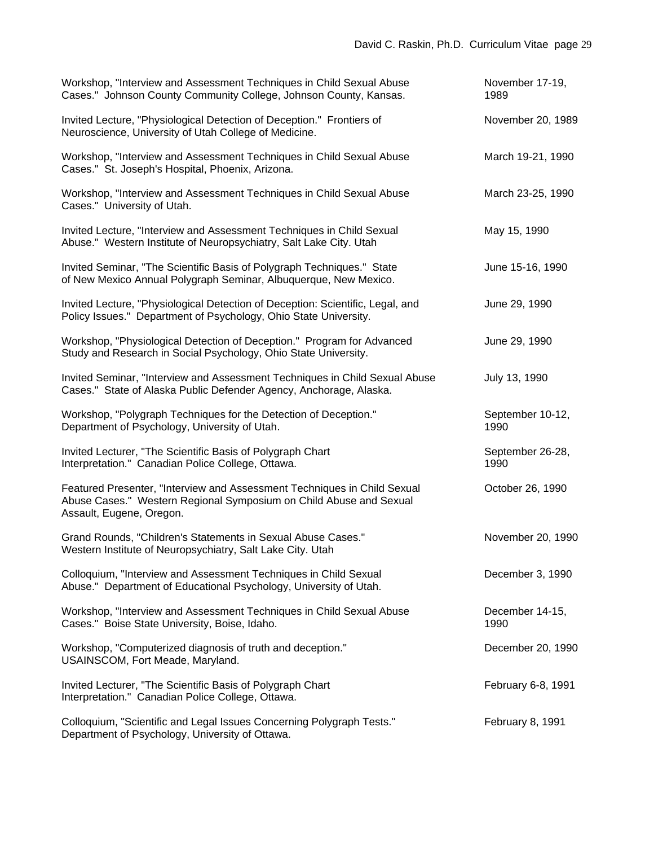| Workshop, "Interview and Assessment Techniques in Child Sexual Abuse<br>Cases." Johnson County Community College, Johnson County, Kansas.                                  | November 17-19,<br>1989  |
|----------------------------------------------------------------------------------------------------------------------------------------------------------------------------|--------------------------|
| Invited Lecture, "Physiological Detection of Deception." Frontiers of<br>Neuroscience, University of Utah College of Medicine.                                             | November 20, 1989        |
| Workshop, "Interview and Assessment Techniques in Child Sexual Abuse<br>Cases." St. Joseph's Hospital, Phoenix, Arizona.                                                   | March 19-21, 1990        |
| Workshop, "Interview and Assessment Techniques in Child Sexual Abuse<br>Cases." University of Utah.                                                                        | March 23-25, 1990        |
| Invited Lecture, "Interview and Assessment Techniques in Child Sexual<br>Abuse." Western Institute of Neuropsychiatry, Salt Lake City. Utah                                | May 15, 1990             |
| Invited Seminar, "The Scientific Basis of Polygraph Techniques." State<br>of New Mexico Annual Polygraph Seminar, Albuquerque, New Mexico.                                 | June 15-16, 1990         |
| Invited Lecture, "Physiological Detection of Deception: Scientific, Legal, and<br>Policy Issues." Department of Psychology, Ohio State University.                         | June 29, 1990            |
| Workshop, "Physiological Detection of Deception." Program for Advanced<br>Study and Research in Social Psychology, Ohio State University.                                  | June 29, 1990            |
| Invited Seminar, "Interview and Assessment Techniques in Child Sexual Abuse<br>Cases." State of Alaska Public Defender Agency, Anchorage, Alaska.                          | July 13, 1990            |
| Workshop, "Polygraph Techniques for the Detection of Deception."<br>Department of Psychology, University of Utah.                                                          | September 10-12,<br>1990 |
| Invited Lecturer, "The Scientific Basis of Polygraph Chart<br>Interpretation." Canadian Police College, Ottawa.                                                            | September 26-28,<br>1990 |
| Featured Presenter, "Interview and Assessment Techniques in Child Sexual<br>Abuse Cases." Western Regional Symposium on Child Abuse and Sexual<br>Assault, Eugene, Oregon. | October 26, 1990         |
| Grand Rounds, "Children's Statements in Sexual Abuse Cases."<br>Western Institute of Neuropsychiatry, Salt Lake City. Utah                                                 | November 20, 1990        |
| Colloquium, "Interview and Assessment Techniques in Child Sexual<br>Abuse." Department of Educational Psychology, University of Utah.                                      | December 3, 1990         |
| Workshop, "Interview and Assessment Techniques in Child Sexual Abuse<br>Cases." Boise State University, Boise, Idaho.                                                      | December 14-15,<br>1990  |
| Workshop, "Computerized diagnosis of truth and deception."<br>USAINSCOM, Fort Meade, Maryland.                                                                             | December 20, 1990        |
| Invited Lecturer, "The Scientific Basis of Polygraph Chart<br>Interpretation." Canadian Police College, Ottawa.                                                            | February 6-8, 1991       |
| Colloquium, "Scientific and Legal Issues Concerning Polygraph Tests."<br>Department of Psychology, University of Ottawa.                                                   | February 8, 1991         |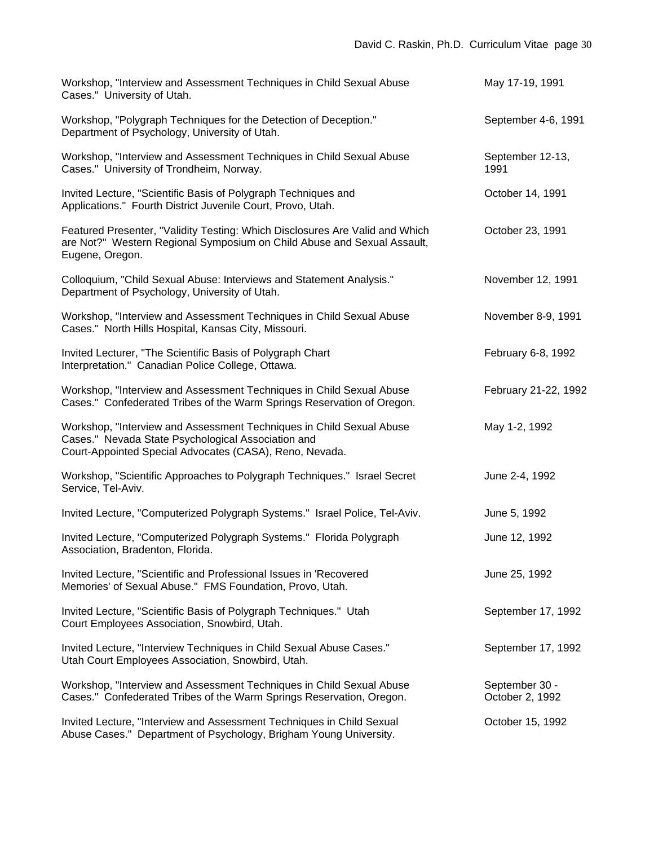| Workshop, "Interview and Assessment Techniques in Child Sexual Abuse<br>Cases." University of Utah.                                                                                   | May 17-19, 1991                   |
|---------------------------------------------------------------------------------------------------------------------------------------------------------------------------------------|-----------------------------------|
| Workshop, "Polygraph Techniques for the Detection of Deception."<br>Department of Psychology, University of Utah.                                                                     | September 4-6, 1991               |
| Workshop, "Interview and Assessment Techniques in Child Sexual Abuse<br>Cases." University of Trondheim, Norway.                                                                      | September 12-13,<br>1991          |
| Invited Lecture, "Scientific Basis of Polygraph Techniques and<br>Applications." Fourth District Juvenile Court, Provo, Utah.                                                         | October 14, 1991                  |
| Featured Presenter, "Validity Testing: Which Disclosures Are Valid and Which<br>are Not?" Western Regional Symposium on Child Abuse and Sexual Assault,<br>Eugene, Oregon.            | October 23, 1991                  |
| Colloquium, "Child Sexual Abuse: Interviews and Statement Analysis."<br>Department of Psychology, University of Utah.                                                                 | November 12, 1991                 |
| Workshop, "Interview and Assessment Techniques in Child Sexual Abuse<br>Cases." North Hills Hospital, Kansas City, Missouri.                                                          | November 8-9, 1991                |
| Invited Lecturer, "The Scientific Basis of Polygraph Chart<br>Interpretation." Canadian Police College, Ottawa.                                                                       | February 6-8, 1992                |
| Workshop, "Interview and Assessment Techniques in Child Sexual Abuse<br>Cases." Confederated Tribes of the Warm Springs Reservation of Oregon.                                        | February 21-22, 1992              |
| Workshop, "Interview and Assessment Techniques in Child Sexual Abuse<br>Cases." Nevada State Psychological Association and<br>Court-Appointed Special Advocates (CASA), Reno, Nevada. | May 1-2, 1992                     |
| Workshop, "Scientific Approaches to Polygraph Techniques." Israel Secret<br>Service, Tel-Aviv.                                                                                        | June 2-4, 1992                    |
| Invited Lecture, "Computerized Polygraph Systems." Israel Police, Tel-Aviv.                                                                                                           | June 5, 1992                      |
| Invited Lecture, "Computerized Polygraph Systems." Florida Polygraph<br>Association, Bradenton, Florida.                                                                              | June 12, 1992                     |
| Invited Lecture, "Scientific and Professional Issues in 'Recovered<br>Memories' of Sexual Abuse." FMS Foundation, Provo, Utah.                                                        | June 25, 1992                     |
| Invited Lecture, "Scientific Basis of Polygraph Techniques." Utah<br>Court Employees Association, Snowbird, Utah.                                                                     | September 17, 1992                |
| Invited Lecture, "Interview Techniques in Child Sexual Abuse Cases."<br>Utah Court Employees Association, Snowbird, Utah.                                                             | September 17, 1992                |
| Workshop, "Interview and Assessment Techniques in Child Sexual Abuse<br>Cases." Confederated Tribes of the Warm Springs Reservation, Oregon.                                          | September 30 -<br>October 2, 1992 |
| Invited Lecture, "Interview and Assessment Techniques in Child Sexual<br>Abuse Cases." Department of Psychology, Brigham Young University.                                            | October 15, 1992                  |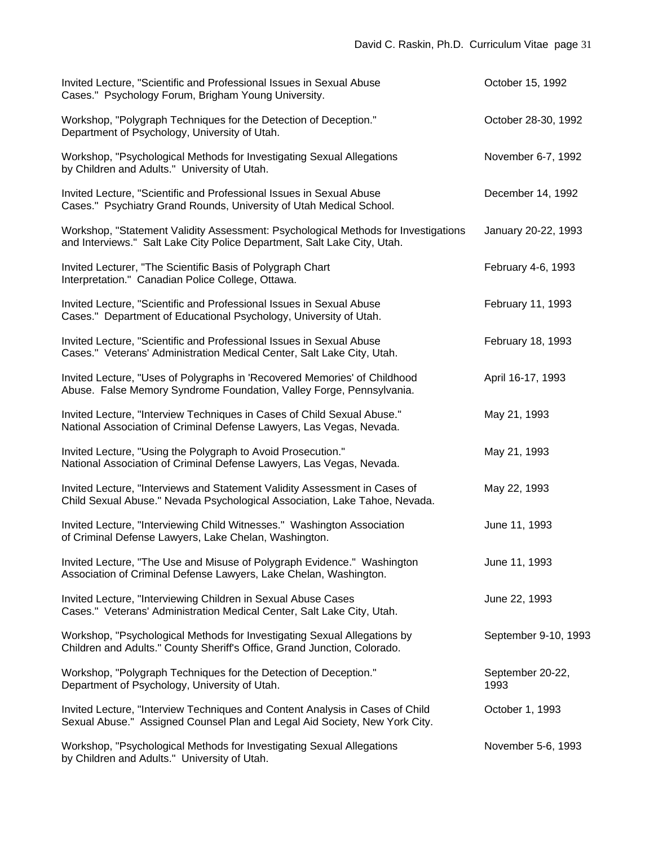| Invited Lecture, "Scientific and Professional Issues in Sexual Abuse<br>Cases." Psychology Forum, Brigham Young University.                                    | October 15, 1992         |
|----------------------------------------------------------------------------------------------------------------------------------------------------------------|--------------------------|
| Workshop, "Polygraph Techniques for the Detection of Deception."<br>Department of Psychology, University of Utah.                                              | October 28-30, 1992      |
| Workshop, "Psychological Methods for Investigating Sexual Allegations<br>by Children and Adults." University of Utah.                                          | November 6-7, 1992       |
| Invited Lecture, "Scientific and Professional Issues in Sexual Abuse<br>Cases." Psychiatry Grand Rounds, University of Utah Medical School.                    | December 14, 1992        |
| Workshop, "Statement Validity Assessment: Psychological Methods for Investigations<br>and Interviews." Salt Lake City Police Department, Salt Lake City, Utah. | January 20-22, 1993      |
| Invited Lecturer, "The Scientific Basis of Polygraph Chart<br>Interpretation." Canadian Police College, Ottawa.                                                | February 4-6, 1993       |
| Invited Lecture, "Scientific and Professional Issues in Sexual Abuse<br>Cases." Department of Educational Psychology, University of Utah.                      | February 11, 1993        |
| Invited Lecture, "Scientific and Professional Issues in Sexual Abuse<br>Cases." Veterans' Administration Medical Center, Salt Lake City, Utah.                 | February 18, 1993        |
| Invited Lecture, "Uses of Polygraphs in 'Recovered Memories' of Childhood<br>Abuse. False Memory Syndrome Foundation, Valley Forge, Pennsylvania.              | April 16-17, 1993        |
| Invited Lecture, "Interview Techniques in Cases of Child Sexual Abuse."<br>National Association of Criminal Defense Lawyers, Las Vegas, Nevada.                | May 21, 1993             |
| Invited Lecture, "Using the Polygraph to Avoid Prosecution."<br>National Association of Criminal Defense Lawyers, Las Vegas, Nevada.                           | May 21, 1993             |
| Invited Lecture, "Interviews and Statement Validity Assessment in Cases of<br>Child Sexual Abuse." Nevada Psychological Association, Lake Tahoe, Nevada.       | May 22, 1993             |
| Invited Lecture, "Interviewing Child Witnesses." Washington Association<br>of Criminal Defense Lawyers, Lake Chelan, Washington.                               | June 11, 1993            |
| Invited Lecture, "The Use and Misuse of Polygraph Evidence." Washington<br>Association of Criminal Defense Lawyers, Lake Chelan, Washington.                   | June 11, 1993            |
| Invited Lecture, "Interviewing Children in Sexual Abuse Cases<br>Cases." Veterans' Administration Medical Center, Salt Lake City, Utah.                        | June 22, 1993            |
| Workshop, "Psychological Methods for Investigating Sexual Allegations by<br>Children and Adults." County Sheriff's Office, Grand Junction, Colorado.           | September 9-10, 1993     |
| Workshop, "Polygraph Techniques for the Detection of Deception."<br>Department of Psychology, University of Utah.                                              | September 20-22,<br>1993 |
| Invited Lecture, "Interview Techniques and Content Analysis in Cases of Child<br>Sexual Abuse." Assigned Counsel Plan and Legal Aid Society, New York City.    | October 1, 1993          |
| Workshop, "Psychological Methods for Investigating Sexual Allegations<br>by Children and Adults." University of Utah.                                          | November 5-6, 1993       |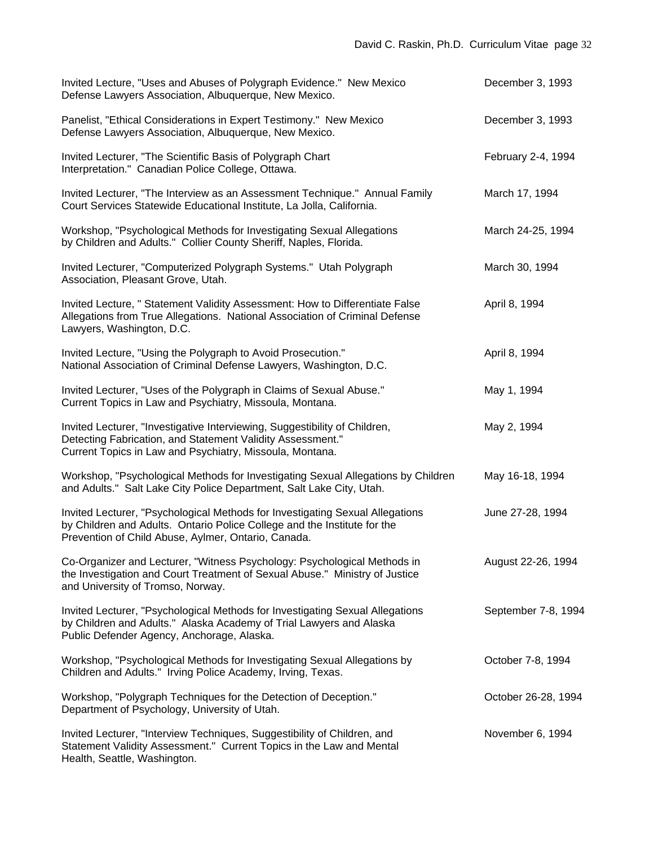| Invited Lecture, "Uses and Abuses of Polygraph Evidence." New Mexico<br>Defense Lawyers Association, Albuquerque, New Mexico.                                                                                    | December 3, 1993    |
|------------------------------------------------------------------------------------------------------------------------------------------------------------------------------------------------------------------|---------------------|
| Panelist, "Ethical Considerations in Expert Testimony." New Mexico<br>Defense Lawyers Association, Albuquerque, New Mexico.                                                                                      | December 3, 1993    |
| Invited Lecturer, "The Scientific Basis of Polygraph Chart<br>Interpretation." Canadian Police College, Ottawa.                                                                                                  | February 2-4, 1994  |
| Invited Lecturer, "The Interview as an Assessment Technique." Annual Family<br>Court Services Statewide Educational Institute, La Jolla, California.                                                             | March 17, 1994      |
| Workshop, "Psychological Methods for Investigating Sexual Allegations<br>by Children and Adults." Collier County Sheriff, Naples, Florida.                                                                       | March 24-25, 1994   |
| Invited Lecturer, "Computerized Polygraph Systems." Utah Polygraph<br>Association, Pleasant Grove, Utah.                                                                                                         | March 30, 1994      |
| Invited Lecture, " Statement Validity Assessment: How to Differentiate False<br>Allegations from True Allegations. National Association of Criminal Defense<br>Lawyers, Washington, D.C.                         | April 8, 1994       |
| Invited Lecture, "Using the Polygraph to Avoid Prosecution."<br>National Association of Criminal Defense Lawyers, Washington, D.C.                                                                               | April 8, 1994       |
| Invited Lecturer, "Uses of the Polygraph in Claims of Sexual Abuse."<br>Current Topics in Law and Psychiatry, Missoula, Montana.                                                                                 | May 1, 1994         |
| Invited Lecturer, "Investigative Interviewing, Suggestibility of Children,<br>Detecting Fabrication, and Statement Validity Assessment."<br>Current Topics in Law and Psychiatry, Missoula, Montana.             | May 2, 1994         |
| Workshop, "Psychological Methods for Investigating Sexual Allegations by Children<br>and Adults." Salt Lake City Police Department, Salt Lake City, Utah.                                                        | May 16-18, 1994     |
| Invited Lecturer, "Psychological Methods for Investigating Sexual Allegations<br>by Children and Adults. Ontario Police College and the Institute for the<br>Prevention of Child Abuse, Aylmer, Ontario, Canada. | June 27-28, 1994    |
| Co-Organizer and Lecturer, "Witness Psychology: Psychological Methods in<br>the Investigation and Court Treatment of Sexual Abuse." Ministry of Justice<br>and University of Tromso, Norway.                     | August 22-26, 1994  |
| Invited Lecturer, "Psychological Methods for Investigating Sexual Allegations<br>by Children and Adults." Alaska Academy of Trial Lawyers and Alaska<br>Public Defender Agency, Anchorage, Alaska.               | September 7-8, 1994 |
| Workshop, "Psychological Methods for Investigating Sexual Allegations by<br>Children and Adults." Irving Police Academy, Irving, Texas.                                                                          | October 7-8, 1994   |
| Workshop, "Polygraph Techniques for the Detection of Deception."<br>Department of Psychology, University of Utah.                                                                                                | October 26-28, 1994 |
| Invited Lecturer, "Interview Techniques, Suggestibility of Children, and<br>Statement Validity Assessment." Current Topics in the Law and Mental<br>Health, Seattle, Washington.                                 | November 6, 1994    |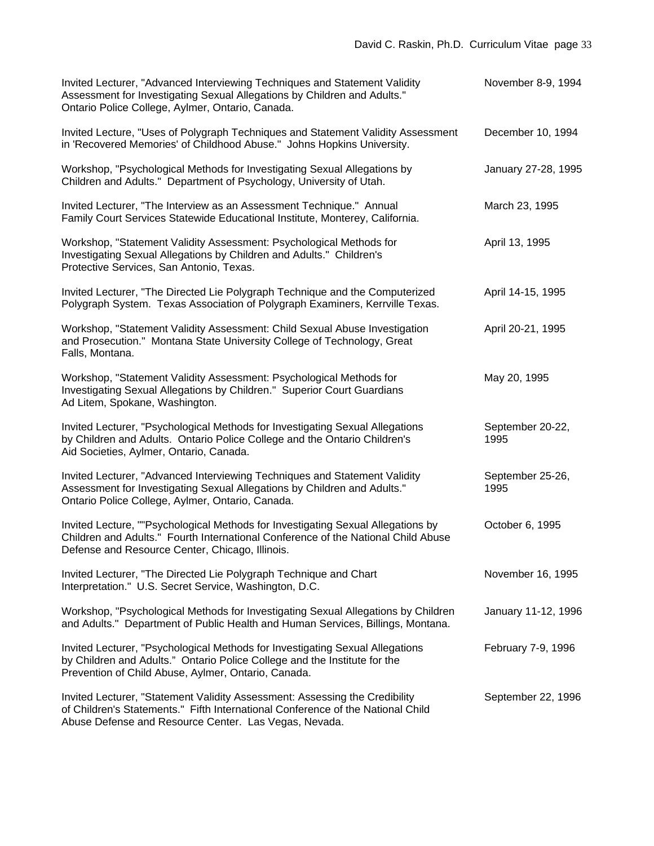| Invited Lecturer, "Advanced Interviewing Techniques and Statement Validity<br>Assessment for Investigating Sexual Allegations by Children and Adults."<br>Ontario Police College, Aylmer, Ontario, Canada.               | November 8-9, 1994       |
|--------------------------------------------------------------------------------------------------------------------------------------------------------------------------------------------------------------------------|--------------------------|
| Invited Lecture, "Uses of Polygraph Techniques and Statement Validity Assessment<br>in 'Recovered Memories' of Childhood Abuse." Johns Hopkins University.                                                               | December 10, 1994        |
| Workshop, "Psychological Methods for Investigating Sexual Allegations by<br>Children and Adults." Department of Psychology, University of Utah.                                                                          | January 27-28, 1995      |
| Invited Lecturer, "The Interview as an Assessment Technique." Annual<br>Family Court Services Statewide Educational Institute, Monterey, California.                                                                     | March 23, 1995           |
| Workshop, "Statement Validity Assessment: Psychological Methods for<br>Investigating Sexual Allegations by Children and Adults." Children's<br>Protective Services, San Antonio, Texas.                                  | April 13, 1995           |
| Invited Lecturer, "The Directed Lie Polygraph Technique and the Computerized<br>Polygraph System. Texas Association of Polygraph Examiners, Kerrville Texas.                                                             | April 14-15, 1995        |
| Workshop, "Statement Validity Assessment: Child Sexual Abuse Investigation<br>and Prosecution." Montana State University College of Technology, Great<br>Falls, Montana.                                                 | April 20-21, 1995        |
| Workshop, "Statement Validity Assessment: Psychological Methods for<br>Investigating Sexual Allegations by Children." Superior Court Guardians<br>Ad Litem, Spokane, Washington.                                         | May 20, 1995             |
| Invited Lecturer, "Psychological Methods for Investigating Sexual Allegations<br>by Children and Adults. Ontario Police College and the Ontario Children's<br>Aid Societies, Aylmer, Ontario, Canada.                    | September 20-22,<br>1995 |
| Invited Lecturer, "Advanced Interviewing Techniques and Statement Validity<br>Assessment for Investigating Sexual Allegations by Children and Adults."<br>Ontario Police College, Aylmer, Ontario, Canada.               | September 25-26,<br>1995 |
| Invited Lecture, ""Psychological Methods for Investigating Sexual Allegations by<br>Children and Adults." Fourth International Conference of the National Child Abuse<br>Defense and Resource Center, Chicago, Illinois. | October 6, 1995          |
| Invited Lecturer, "The Directed Lie Polygraph Technique and Chart<br>Interpretation." U.S. Secret Service, Washington, D.C.                                                                                              | November 16, 1995        |
| Workshop, "Psychological Methods for Investigating Sexual Allegations by Children<br>and Adults." Department of Public Health and Human Services, Billings, Montana.                                                     | January 11-12, 1996      |
| Invited Lecturer, "Psychological Methods for Investigating Sexual Allegations<br>by Children and Adults." Ontario Police College and the Institute for the<br>Prevention of Child Abuse, Aylmer, Ontario, Canada.        | February 7-9, 1996       |
| Invited Lecturer, "Statement Validity Assessment: Assessing the Credibility<br>of Children's Statements." Fifth International Conference of the National Child<br>Abuse Defense and Resource Center. Las Vegas, Nevada.  | September 22, 1996       |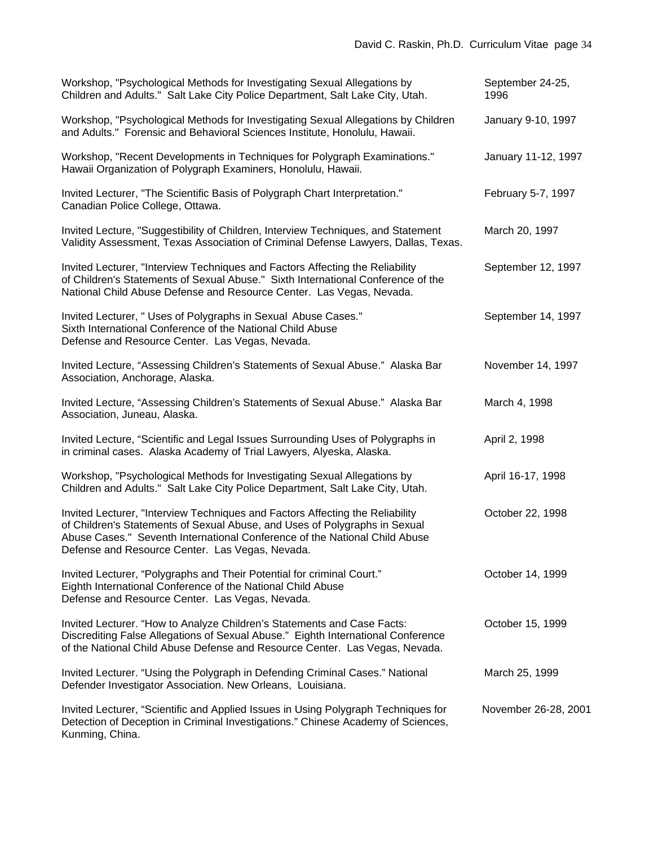| Workshop, "Psychological Methods for Investigating Sexual Allegations by<br>Children and Adults." Salt Lake City Police Department, Salt Lake City, Utah.                                                                                                                                    | September 24-25,<br>1996 |
|----------------------------------------------------------------------------------------------------------------------------------------------------------------------------------------------------------------------------------------------------------------------------------------------|--------------------------|
| Workshop, "Psychological Methods for Investigating Sexual Allegations by Children<br>and Adults." Forensic and Behavioral Sciences Institute, Honolulu, Hawaii.                                                                                                                              | January 9-10, 1997       |
| Workshop, "Recent Developments in Techniques for Polygraph Examinations."<br>Hawaii Organization of Polygraph Examiners, Honolulu, Hawaii.                                                                                                                                                   | January 11-12, 1997      |
| Invited Lecturer, "The Scientific Basis of Polygraph Chart Interpretation."<br>Canadian Police College, Ottawa.                                                                                                                                                                              | February 5-7, 1997       |
| Invited Lecture, "Suggestibility of Children, Interview Techniques, and Statement<br>Validity Assessment, Texas Association of Criminal Defense Lawyers, Dallas, Texas.                                                                                                                      | March 20, 1997           |
| Invited Lecturer, "Interview Techniques and Factors Affecting the Reliability<br>of Children's Statements of Sexual Abuse." Sixth International Conference of the<br>National Child Abuse Defense and Resource Center. Las Vegas, Nevada.                                                    | September 12, 1997       |
| Invited Lecturer, " Uses of Polygraphs in Sexual Abuse Cases."<br>Sixth International Conference of the National Child Abuse<br>Defense and Resource Center. Las Vegas, Nevada.                                                                                                              | September 14, 1997       |
| Invited Lecture, "Assessing Children's Statements of Sexual Abuse." Alaska Bar<br>Association, Anchorage, Alaska.                                                                                                                                                                            | November 14, 1997        |
| Invited Lecture, "Assessing Children's Statements of Sexual Abuse." Alaska Bar<br>Association, Juneau, Alaska.                                                                                                                                                                               | March 4, 1998            |
| Invited Lecture, "Scientific and Legal Issues Surrounding Uses of Polygraphs in<br>in criminal cases. Alaska Academy of Trial Lawyers, Alyeska, Alaska.                                                                                                                                      | April 2, 1998            |
| Workshop, "Psychological Methods for Investigating Sexual Allegations by<br>Children and Adults." Salt Lake City Police Department, Salt Lake City, Utah.                                                                                                                                    | April 16-17, 1998        |
| Invited Lecturer, "Interview Techniques and Factors Affecting the Reliability<br>of Children's Statements of Sexual Abuse, and Uses of Polygraphs in Sexual<br>Abuse Cases." Seventh International Conference of the National Child Abuse<br>Defense and Resource Center. Las Vegas, Nevada. | October 22, 1998         |
| Invited Lecturer, "Polygraphs and Their Potential for criminal Court."<br>Eighth International Conference of the National Child Abuse<br>Defense and Resource Center. Las Vegas, Nevada.                                                                                                     | October 14, 1999         |
| Invited Lecturer. "How to Analyze Children's Statements and Case Facts:<br>Discrediting False Allegations of Sexual Abuse." Eighth International Conference<br>of the National Child Abuse Defense and Resource Center. Las Vegas, Nevada.                                                   | October 15, 1999         |
| Invited Lecturer. "Using the Polygraph in Defending Criminal Cases." National<br>Defender Investigator Association. New Orleans, Louisiana.                                                                                                                                                  | March 25, 1999           |
| Invited Lecturer, "Scientific and Applied Issues in Using Polygraph Techniques for<br>Detection of Deception in Criminal Investigations." Chinese Academy of Sciences,<br>Kunming, China.                                                                                                    | November 26-28, 2001     |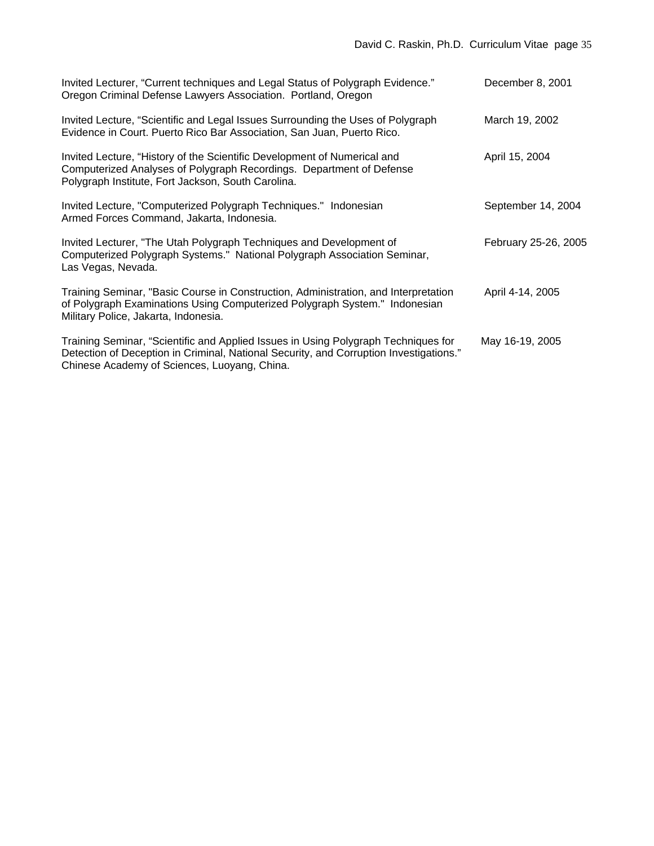| Invited Lecturer, "Current techniques and Legal Status of Polygraph Evidence."<br>Oregon Criminal Defense Lawyers Association. Portland, Oregon                                                                              | December 8, 2001     |
|------------------------------------------------------------------------------------------------------------------------------------------------------------------------------------------------------------------------------|----------------------|
| Invited Lecture, "Scientific and Legal Issues Surrounding the Uses of Polygraph<br>Evidence in Court. Puerto Rico Bar Association, San Juan, Puerto Rico.                                                                    | March 19, 2002       |
| Invited Lecture, "History of the Scientific Development of Numerical and<br>Computerized Analyses of Polygraph Recordings. Department of Defense<br>Polygraph Institute, Fort Jackson, South Carolina.                       | April 15, 2004       |
| Invited Lecture, "Computerized Polygraph Techniques." Indonesian<br>Armed Forces Command, Jakarta, Indonesia.                                                                                                                | September 14, 2004   |
| Invited Lecturer, "The Utah Polygraph Techniques and Development of<br>Computerized Polygraph Systems." National Polygraph Association Seminar,<br>Las Vegas, Nevada.                                                        | February 25-26, 2005 |
| Training Seminar, "Basic Course in Construction, Administration, and Interpretation<br>of Polygraph Examinations Using Computerized Polygraph System." Indonesian<br>Military Police, Jakarta, Indonesia.                    | April 4-14, 2005     |
| Training Seminar, "Scientific and Applied Issues in Using Polygraph Techniques for<br>Detection of Deception in Criminal, National Security, and Corruption Investigations."<br>Chinese Academy of Sciences, Luoyang, China. | May 16-19, 2005      |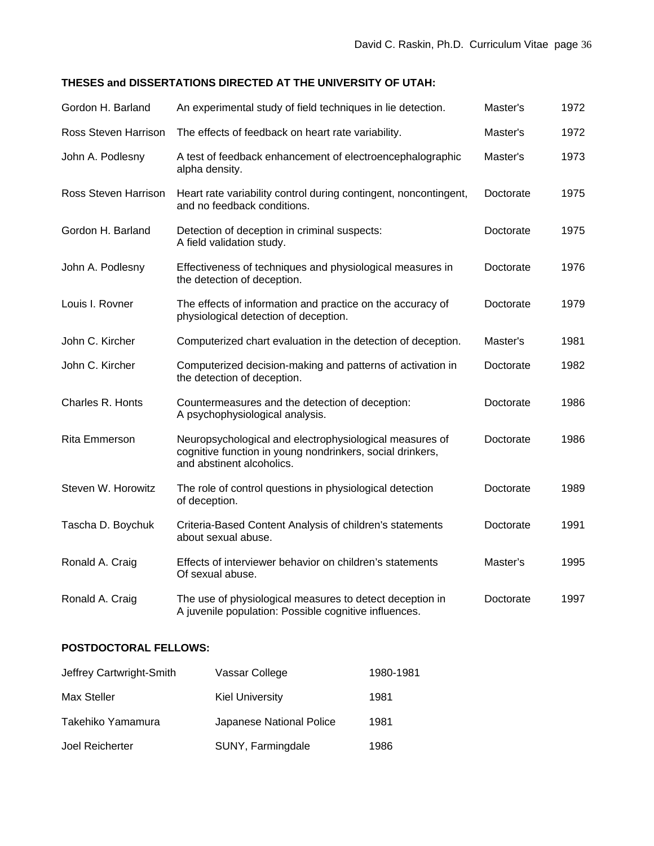# **THESES and DISSERTATIONS DIRECTED AT THE UNIVERSITY OF UTAH:**

| Gordon H. Barland    | An experimental study of field techniques in lie detection.                                                                                       | Master's  | 1972 |
|----------------------|---------------------------------------------------------------------------------------------------------------------------------------------------|-----------|------|
| Ross Steven Harrison | The effects of feedback on heart rate variability.                                                                                                | Master's  | 1972 |
| John A. Podlesny     | A test of feedback enhancement of electroencephalographic<br>alpha density.                                                                       | Master's  | 1973 |
| Ross Steven Harrison | Heart rate variability control during contingent, noncontingent,<br>and no feedback conditions.                                                   | Doctorate | 1975 |
| Gordon H. Barland    | Detection of deception in criminal suspects:<br>A field validation study.                                                                         | Doctorate | 1975 |
| John A. Podlesny     | Effectiveness of techniques and physiological measures in<br>the detection of deception.                                                          | Doctorate | 1976 |
| Louis I. Rovner      | The effects of information and practice on the accuracy of<br>physiological detection of deception.                                               | Doctorate | 1979 |
| John C. Kircher      | Computerized chart evaluation in the detection of deception.                                                                                      | Master's  | 1981 |
| John C. Kircher      | Computerized decision-making and patterns of activation in<br>the detection of deception.                                                         | Doctorate | 1982 |
| Charles R. Honts     | Countermeasures and the detection of deception:<br>A psychophysiological analysis.                                                                | Doctorate | 1986 |
| Rita Emmerson        | Neuropsychological and electrophysiological measures of<br>cognitive function in young nondrinkers, social drinkers,<br>and abstinent alcoholics. | Doctorate | 1986 |
| Steven W. Horowitz   | The role of control questions in physiological detection<br>of deception.                                                                         | Doctorate | 1989 |
| Tascha D. Boychuk    | Criteria-Based Content Analysis of children's statements<br>about sexual abuse.                                                                   | Doctorate | 1991 |
| Ronald A. Craig      | Effects of interviewer behavior on children's statements<br>Of sexual abuse.                                                                      | Master's  | 1995 |
| Ronald A. Craig      | The use of physiological measures to detect deception in<br>A juvenile population: Possible cognitive influences.                                 | Doctorate | 1997 |

# **POSTDOCTORAL FELLOWS:**

| Jeffrey Cartwright-Smith | Vassar College           | 1980-1981 |
|--------------------------|--------------------------|-----------|
| Max Steller              | <b>Kiel University</b>   | 1981      |
| Takehiko Yamamura        | Japanese National Police | 1981      |
| Joel Reicherter          | SUNY, Farmingdale        | 1986      |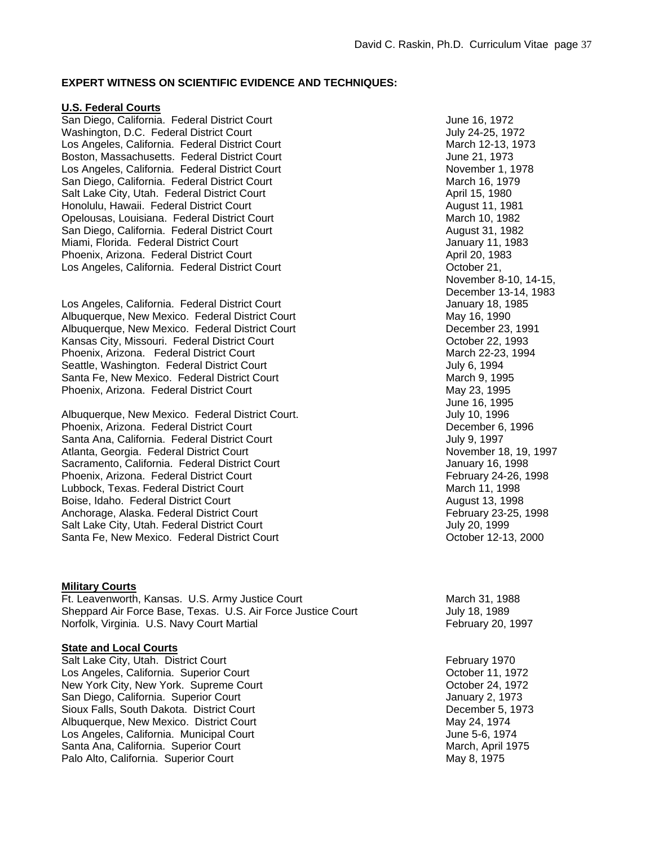## **EXPERT WITNESS ON SCIENTIFIC EVIDENCE AND TECHNIQUES:**

## **U.S. Federal Courts**

San Diego, California. Federal District Court Court Court June 16, 1972 Washington, D.C. Federal District Court Court Court Cultum Court July 24-25, 1972 Los Angeles, California. Federal District Court March 12-13, 1973 Boston, Massachusetts. Federal District Court Court Court June 21, 1973 Los Angeles, California. Federal District Court November 1, 1978 San Diego, California. Federal District Court March 16, 1979 Salt Lake City, Utah. Federal District Court **April 15, 1980** April 15, 1980 Honolulu, Hawaii. Federal District Court August 11, 1981 Opelousas, Louisiana. Federal District Court March 10, 1982 San Diego, California. Federal District Court **August 31, 1982** August 31, 1982 Miami, Florida. Federal District Court **January 11, 1983** Phoenix, Arizona. Federal District Court April 20, 1983 Los Angeles, California. Federal District Court Court Context Court Controller 21,

Los Angeles, California. Federal District Court **January 18, 1985** Albuquerque, New Mexico. Federal District Court May 16, 1990 Albuquerque, New Mexico. Federal District Court **December 23, 1991** December 23, 1991 Kansas City, Missouri. Federal District Court Court Court Course Court Course Course Course Course Course October 22, 1993 Phoenix, Arizona. Federal District Court March 22-23, 1994 Seattle, Washington. Federal District Court **Court Court County County County County County County County County** Santa Fe, New Mexico. Federal District Court March 9, 1995 Phoenix, Arizona. Federal District Court May 23, 1995

Albuquerque, New Mexico. Federal District Court. Albuquerque, July 10, 1996 Phoenix, Arizona. Federal District Court Court December 6, 1996 Santa Ana, California. Federal District Court **July 9, 1997** July 9, 1997 Atlanta, Georgia. Federal District Court November 18, 19, 1997 Sacramento, California. Federal District Court **Court Court County 16, 1998** Phoenix, Arizona. Federal District Court February 24-26, 1998 Lubbock, Texas. Federal District Court **March 11, 1998** March 11, 1998 Boise, Idaho. Federal District Court **August 13, 1998** August 13, 1998 Anchorage, Alaska, Federal District Court **February 23-25, 1998** Salt Lake City, Utah. Federal District Court July 20, 1999 Santa Fe, New Mexico. Federal District Court **Court County Controllery Controller** October 12-13, 2000

#### **Military Courts**

Ft. Leavenworth, Kansas. U.S. Army Justice Court March 31, 1988 Sheppard Air Force Base, Texas. U.S. Air Force Justice Court July 18, 1989 Norfolk, Virginia. U.S. Navy Court Martial February 20, 1997

# **State and Local Courts**

Salt Lake City, Utah. District Court February 1970 Los Angeles, California. Superior Court **Court Court Court Court Court Court Court Court Court Court Court Court** New York City, New York. Supreme Court Court Court Court Court Court October 24, 1972 San Diego, California. Superior Court Court Court January 2, 1973 Sioux Falls, South Dakota. District Court **December 5, 1973** Albuquerque, New Mexico. District Court May 24, 1974 Los Angeles, California. Municipal Court **Court Access 1974** June 5-6, 1974 Santa Ana, California. Superior Court **March, April 1975** March, April 1975 Palo Alto, California. Superior Court May 8, 1975

 November 8-10, 14-15, December 13-14, 1983 June 16, 1995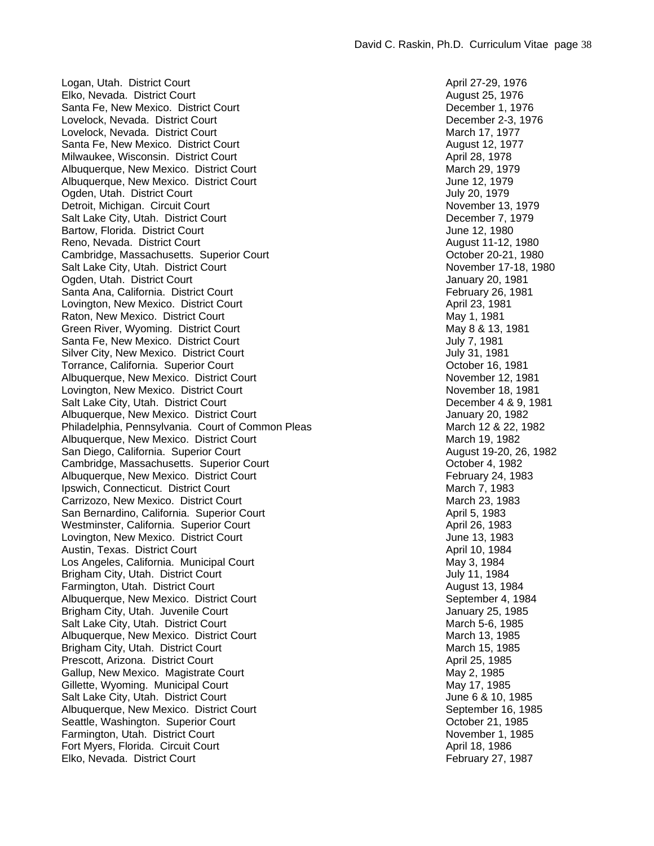Logan, Utah. District Court **April 27-29, 1976** Court April 27-29, 1976 Elko, Nevada. District Court August 25, 1976 Santa Fe, New Mexico. District Court Court Court Current Couplement 1, 1976 Lovelock, Nevada. District Court Court Court December 2-3, 1976 Lovelock, Nevada. District Court March 17, 1977 Santa Fe, New Mexico. District Court August 12, 1977 Milwaukee, Wisconsin. District Court April 28, 1978 Albuquerque, New Mexico. District Court March 29, 1979 Albuquerque, New Mexico. District Court **June 12, 1979** June 12, 1979 Ogden, Utah. District Court General Account 1979 July 20, 1979 Detroit, Michigan. Circuit Court November 13, 1979 Salt Lake City, Utah. District Court **December 7, 1979** Bartow, Florida. District Court June 12, 1980 Reno, Nevada. District Court **August 11-12, 1980** Cambridge, Massachusetts. Superior Court Court Cambridge, Massachusetts. Superior Court Salt Lake City, Utah. District Court November 17-18, 1980 Ogden, Utah. District Court January 20, 1981 Santa Ana, California. District Court **February 26, 1981** February 26, 1981 Lovington, New Mexico. District Court April 23, 1981 Raton, New Mexico. District Court (1992) 1981 May 1, 1981<br>
Green River, Wyoming. District Court (1992) 1989 May 8 & 13, 1981 Green River, Wyoming. District Court Santa Fe, New Mexico. District Court Court Court Cultum Court Court Cultum Cultum Cultum Cultum Cultum Cultum Cultum Cultum Cultum Cultum Cultum Cultum Cultum Cultum Cultum Cultum Cultum Cultum Cultum Cultum Cultum Cultum Silver City, New Mexico. District Court Court Court Court Court Court Court Court Court Court Court Court Court Torrance, California. Superior Court **Court Court County Couper** Court Court County Couper 16, 1981 Albuquerque, New Mexico. District Court November 12, 1981 Lovington, New Mexico. District Court November 18, 1981 Salt Lake City, Utah. District Court Court Court Court December 4 & 9, 1981 Albuquerque, New Mexico. District Court Court Court Court Court January 20, 1982 Philadelphia, Pennsylvania. Court of Common Pleas March 12 & 22, 1982 Albuquerque, New Mexico. District Court March 19, 1982 San Diego, California. Superior Court **August 19-20, 26, 1982** Cambridge, Massachusetts. Superior Court Court Cambridge, Massachusetts. Superior Court Albuquerque, New Mexico. District Court **February 24, 1983** Ipswich, Connecticut. District Court March 7, 1983 Carrizozo, New Mexico. District Court **March 23, 1983** San Bernardino, California. Superior Court **April 5, 1983** April 5, 1983 Westminster, California. Superior Court April 26, 1983 Lovington, New Mexico. District Court **Court Court Couple 13, 1983** Austin, Texas. District Court April 10, 1984 Los Angeles, California. Municipal Court May 3, 1984 Brigham City, Utah. District Court July 11, 1984 Farmington, Utah. District Court August 13, 1984 Albuquerque, New Mexico. District Court **September 4, 1984** September 4, 1984 Brigham City, Utah. Juvenile Court Court Court Court Court Court Court January 25, 1985 Salt Lake City, Utah. District Court March 5-6, 1985 Albuquerque, New Mexico. District Court March 13, 1985 Brigham City, Utah. District Court March 15, 1985 Prescott, Arizona. District Court April 25, 1985 Gallup, New Mexico. Magistrate Court **May 2, 1985** Gillette, Wyoming. Municipal Court May 17, 1985 Salt Lake City, Utah. District Court June 6 & 10, 1985 Albuquerque, New Mexico. District Court September 16, 1985 Seattle, Washington. Superior Court Court Court Court Court Court Court Court Court Court Court Court Court Court Farmington, Utah. District Court **November 1, 1985** Fort Myers, Florida. Circuit Court April 18, 1986 Elko, Nevada. District Court **February 27, 1987**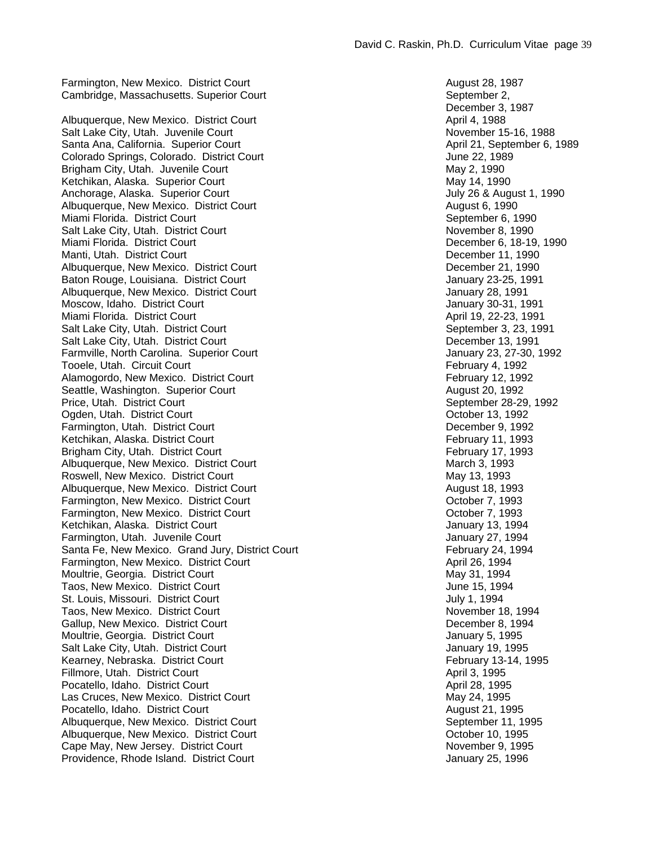Cambridge, Massachusetts. Superior Court September 2, September 2, September 2, Albuquerque, New Mexico. District Court April 4, 1988 Salt Lake City, Utah. Juvenile Court (Salt Lake City, Utah. Juvenile Court (Santa Ana, California. Superior Court (Santa Ana, California. Superior Court (Santa Ana, California. Superior Court (Santa Ana, California. Superi Santa Ana, California. Superior Court Colorado Springs, Colorado. District Court June 22, 1989 Brigham City, Utah. Juvenile Court **May 2, 1990** May 2, 1990 Ketchikan, Alaska. Superior Court May 14, 1990 Anchorage, Alaska. Superior Court **July 26 & August 1, 1990** Albuquerque, New Mexico. District Court **August 6, 1990** August 6, 1990 Miami Florida. District Court September 6, 1990 Salt Lake City, Utah. District Court November 8, 1990 Miami Florida. District Court **December 6, 18-19, 1990** Manti, Utah. District Court **December 11, 1990** Albuquerque, New Mexico. District Court **December 21, 1990** December 21, 1990 Baton Rouge, Louisiana. District Court January 23-25, 1991 Albuquerque, New Mexico. District Court **January 28, 1991** January 28, 1991 Moscow, Idaho. District Court January 30-31, 1991 Miami Florida. District Court **April 19, 22-23, 1991** April 19, 22-23, 1991 Salt Lake City, Utah. District Court September 3, 23, 1991 Salt Lake City, Utah. District Court **December 13, 1991** December 13, 1991 Farmville, North Carolina. Superior Court **Carolina** 23, 27-30, 1992 Tooele, Utah. Circuit Court **February 4, 1992** Alamogordo, New Mexico. District Court **February 12, 1992** Seattle, Washington. Superior Court **August 20, 1992 August 20, 1992** Price, Utah. District Court September 28-29, 1992 Ogden, Utah. District Court Court Court Court Court Court Court Court Court Court Court Court Court Court Court Farmington, Utah. District Court **December 9, 1992** Ketchikan, Alaska. District Court February 11, 1993 Brigham City, Utah. District Court **February 17, 1993** Albuquerque, New Mexico. District Court **March 3, 1993** Roswell, New Mexico. District Court **May 13, 1993** May 13, 1993 Albuquerque, New Mexico. District Court **August 18, 1993** August 18, 1993 Farmington, New Mexico. District Court Court Court Court Courses and Corober 7, 1993 Farmington, New Mexico. District Court Court Court Courses and Corober 7, 1993 Ketchikan, Alaska. District Court January 13, 1994 Farmington, Utah. Juvenile Court **Court Access 1994** January 27, 1994 Santa Fe, New Mexico. Grand Jury, District Court **February 24, 1994** Farmington, New Mexico. District Court **April 26, 1994** April 26, 1994 Moultrie, Georgia. District Court May 31, 1994 Taos, New Mexico. District Court **June 15, 1994** St. Louis, Missouri. District Court **July 1, 1994** Taos, New Mexico. District Court November 18, 1994 Gallup, New Mexico. District Court **December 8, 1994** Moultrie, Georgia. District Court January 5, 1995 Salt Lake City, Utah. District Court Court Court Court Court Court Court Court Court Court Court Court Court Court Kearney, Nebraska. District Court **February 13-14, 1995** February 13-14, 1995 Fillmore, Utah. District Court **April 3, 1995 April 3, 1995** Pocatello, Idaho. District Court April 28, 1995 Las Cruces, New Mexico. District Court May 24, 1995 Pocatello, Idaho. District Court **August 21, 1995 August 21, 1995** Albuquerque, New Mexico. District Court September 11, 1995 Albuquerque, New Mexico. District Court Court Court Court Court Court Court Court Court Court Court Court Court Cape May, New Jersey. District Court November 9, 1995 Providence, Rhode Island. District Court Court Court Court Couplement Court January 25, 1996

Farmington, New Mexico. District Court **August 28, 1987** August 28, 1987 December 3, 1987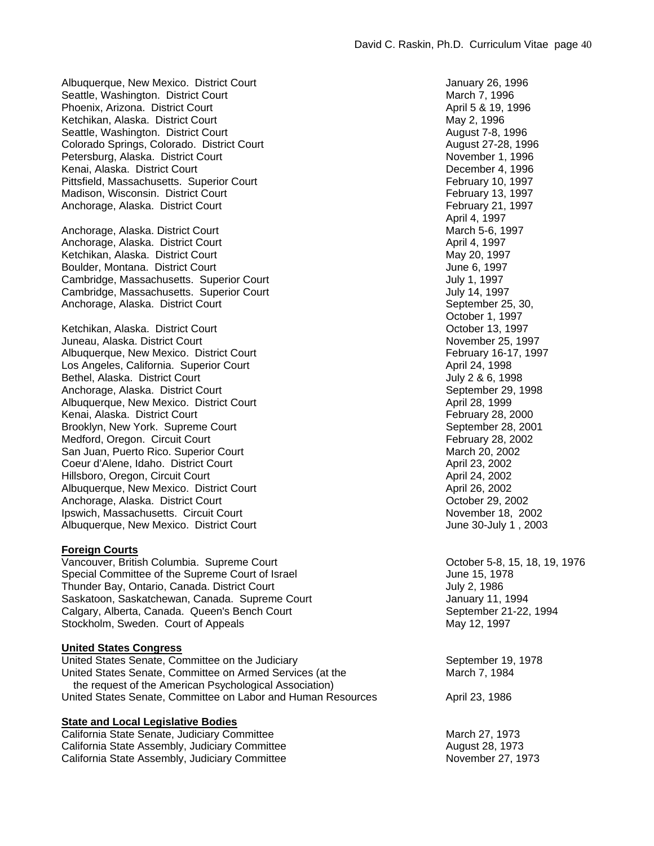Albuquerque, New Mexico. District Court **January 26, 1996** Seattle, Washington. District Court March 7, 1996 Phoenix, Arizona. District Court April 5 & 19, 1996 Ketchikan, Alaska. District Court May 2, 1996 Seattle, Washington. District Court August 7-8, 1996 Colorado Springs, Colorado. District Court August 27-28, 1996 Petersburg, Alaska. District Court November 1, 1996 Kenai, Alaska. District Court **December 4, 1996** Pittsfield, Massachusetts. Superior Court February 10, 1997 Madison, Wisconsin. District Court February 13, 1997 Anchorage, Alaska. District Court **February 21, 1997** 

Anchorage, Alaska. District Court March 5-6, 1997 Anchorage, Alaska. District Court April 4, 1997 Ketchikan, Alaska. District Court May 20, 1997 Boulder, Montana. District Court June 6, 1997 Cambridge, Massachusetts. Superior Court Court Court Cambridge, Massachusetts. Superior Court Cambridge, Massachusetts. Superior Court Court Cambridge, Massachusetts. Superior Court Anchorage, Alaska. District Court September 25, 30, September 25, 30, September 25, 30,

Ketchikan, Alaska. District Court Juneau, Alaska. District Court November 25, 1997 Albuquerque, New Mexico. District Court **February 16-17, 1997** Los Angeles, California. Superior Court **Access 1998** April 24, 1998 Bethel, Alaska. District Court Court Court Court Court Court Court Court Court Court Court Court Court Court Court Anchorage, Alaska. District Court September 29, 1998 Albuquerque, New Mexico. District Court April 28, 1999 Kenai, Alaska. District Court February 28, 2000 Brooklyn, New York. Supreme Court September 28, 2001 Medford, Oregon. Circuit Court **February 28, 2002** San Juan, Puerto Rico. Superior Court **March 20, 2002** March 20, 2002 Coeur d'Alene, Idaho. District Court **April 23, 2002** April 23, 2002 Hillsboro, Oregon, Circuit Court April 24, 2002 Albuquerque, New Mexico. District Court April 26, 2002 Anchorage, Alaska. District Court Court Court Course Court Course Course Course Course Course October 29, 2002 Ipswich, Massachusetts. Circuit Court November 18, 2002 Albuquerque, New Mexico. District Court **June 30-July 1, 2003** 

#### **Foreign Courts**

Vancouver, British Columbia. Supreme Court Court Constanting Correct Court Constanting October 5-8, 15, 18, 19, 1976 Special Committee of the Supreme Court of Israel June 15, 1978 Thunder Bay, Ontario, Canada. District Court General According to the Unit of State July 2, 1986 Saskatoon, Saskatchewan, Canada. Supreme Court **Figure 10 State 10 September 11, 1994** Calgary, Alberta, Canada. Queen's Bench Court September 21-22, 1994 Stockholm, Sweden. Court of Appeals May 12, 1997

#### **United States Congress**

United States Senate, Committee on the Judiciary New September 19, 1978 United States Senate, Committee on Armed Services (at the March 7, 1984 the request of the American Psychological Association) United States Senate, Committee on Labor and Human Resources **April 23, 1986** 

# **State and Local Legislative Bodies**

California State Senate, Judiciary Committee<br>
California State Assembly, Judiciary Committee March 27, 1973<br>
August 28, 1973 California State Assembly, Judiciary Committee California State Assembly, Judiciary Committee November 27, 1973

April 4, 1997 October 1, 1997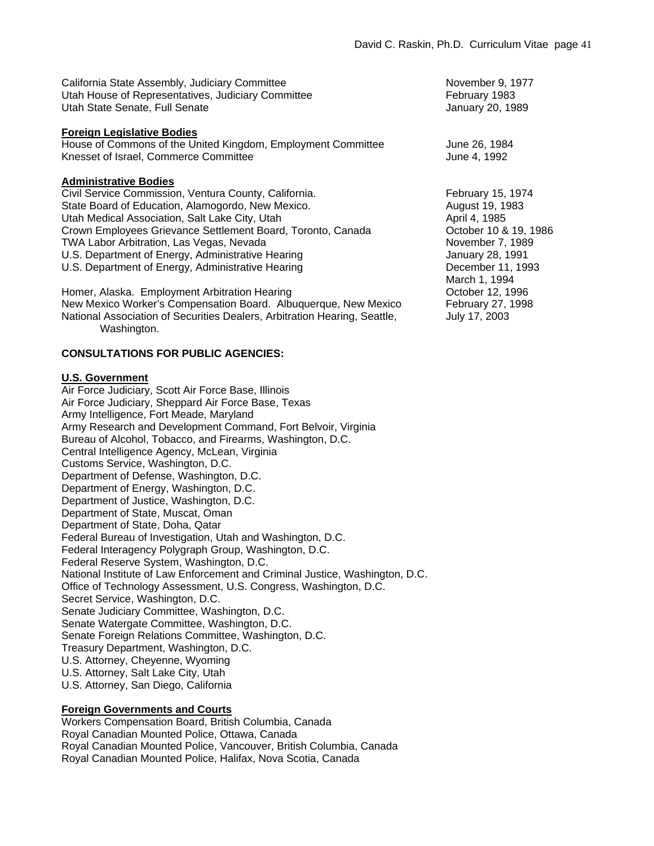| California State Assembly, Judiciary Committee     |
|----------------------------------------------------|
| Utah House of Representatives, Judiciary Committee |
| Utah State Senate, Full Senate                     |

#### **Foreign Legislative Bodies**

House of Commons of the United Kingdom, Employment Committee June 26, 1984 Knesset of Israel, Commerce Committee And According the Supervisor of the 4, 1992

#### **Administrative Bodies**

Civil Service Commission, Ventura County, California. February 15, 1974 State Board of Education, Alamogordo, New Mexico. August 19, 1983 Utah Medical Association, Salt Lake City, Utah April 4, 1985 Crown Employees Grievance Settlement Board, Toronto, Canada Corober 10 & 19, 1986 TWA Labor Arbitration, Las Vegas, Nevada November 7, 1989 U.S. Department of Energy, Administrative Hearing Theorem 10. S. Department of Energy, Administrative Hearing U.S. Department of Energy, Administrative Hearing **December 11, 1993** 

Homer, Alaska. Employment Arbitration Hearing New York 12, 1996 New Mexico Worker's Compensation Board. Albuquerque, New Mexico February 27, 1998 National Association of Securities Dealers, Arbitration Hearing, Seattle, July 17, 2003 Washington.

#### **CONSULTATIONS FOR PUBLIC AGENCIES:**

#### **U.S. Government**

Air Force Judiciary, Scott Air Force Base, Illinois Air Force Judiciary, Sheppard Air Force Base, Texas Army Intelligence, Fort Meade, Maryland Army Research and Development Command, Fort Belvoir, Virginia Bureau of Alcohol, Tobacco, and Firearms, Washington, D.C. Central Intelligence Agency, McLean, Virginia Customs Service, Washington, D.C. Department of Defense, Washington, D.C. Department of Energy, Washington, D.C. Department of Justice, Washington, D.C. Department of State, Muscat, Oman Department of State, Doha, Qatar Federal Bureau of Investigation, Utah and Washington, D.C. Federal Interagency Polygraph Group, Washington, D.C. Federal Reserve System, Washington, D.C. National Institute of Law Enforcement and Criminal Justice, Washington, D.C. Office of Technology Assessment, U.S. Congress, Washington, D.C. Secret Service, Washington, D.C. Senate Judiciary Committee, Washington, D.C. Senate Watergate Committee, Washington, D.C. Senate Foreign Relations Committee, Washington, D.C. Treasury Department, Washington, D.C. U.S. Attorney, Cheyenne, Wyoming U.S. Attorney, Salt Lake City, Utah U.S. Attorney, San Diego, California

#### **Foreign Governments and Courts**

Workers Compensation Board, British Columbia, Canada Royal Canadian Mounted Police, Ottawa, Canada Royal Canadian Mounted Police, Vancouver, British Columbia, Canada Royal Canadian Mounted Police, Halifax, Nova Scotia, Canada

November 9, 1977 February 1983 January 20, 1989

March 1, 1994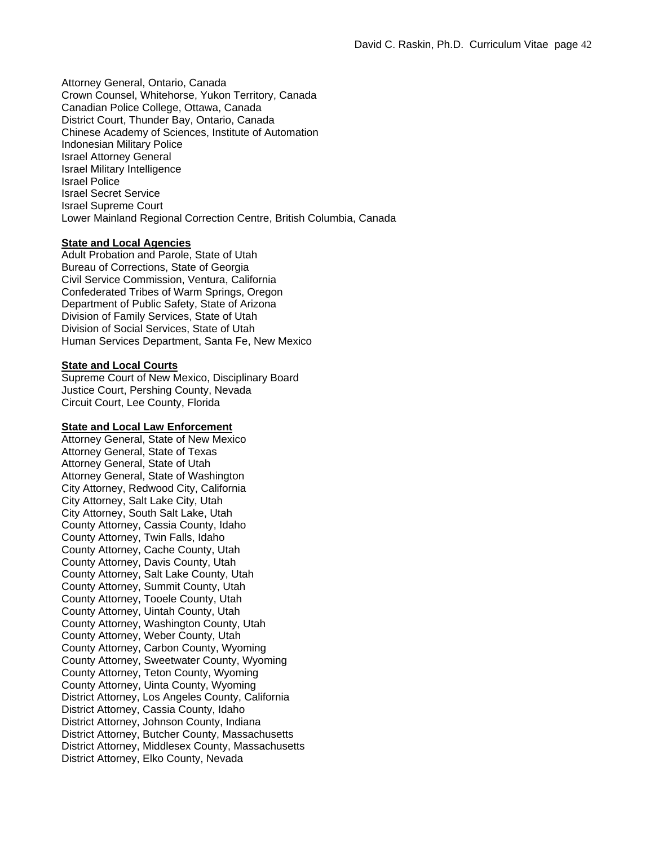Attorney General, Ontario, Canada Crown Counsel, Whitehorse, Yukon Territory, Canada Canadian Police College, Ottawa, Canada District Court, Thunder Bay, Ontario, Canada Chinese Academy of Sciences, Institute of Automation Indonesian Military Police Israel Attorney General Israel Military Intelligence Israel Police Israel Secret Service Israel Supreme Court Lower Mainland Regional Correction Centre, British Columbia, Canada

# **State and Local Agencies**

Adult Probation and Parole, State of Utah Bureau of Corrections, State of Georgia Civil Service Commission, Ventura, California Confederated Tribes of Warm Springs, Oregon Department of Public Safety, State of Arizona Division of Family Services, State of Utah Division of Social Services, State of Utah Human Services Department, Santa Fe, New Mexico

#### **State and Local Courts**

Supreme Court of New Mexico, Disciplinary Board Justice Court, Pershing County, Nevada Circuit Court, Lee County, Florida

#### **State and Local Law Enforcement**

Attorney General, State of New Mexico Attorney General, State of Texas Attorney General, State of Utah Attorney General, State of Washington City Attorney, Redwood City, California City Attorney, Salt Lake City, Utah City Attorney, South Salt Lake, Utah County Attorney, Cassia County, Idaho County Attorney, Twin Falls, Idaho County Attorney, Cache County, Utah County Attorney, Davis County, Utah County Attorney, Salt Lake County, Utah County Attorney, Summit County, Utah County Attorney, Tooele County, Utah County Attorney, Uintah County, Utah County Attorney, Washington County, Utah County Attorney, Weber County, Utah County Attorney, Carbon County, Wyoming County Attorney, Sweetwater County, Wyoming County Attorney, Teton County, Wyoming County Attorney, Uinta County, Wyoming District Attorney, Los Angeles County, California District Attorney, Cassia County, Idaho District Attorney, Johnson County, Indiana District Attorney, Butcher County, Massachusetts District Attorney, Middlesex County, Massachusetts District Attorney, Elko County, Nevada